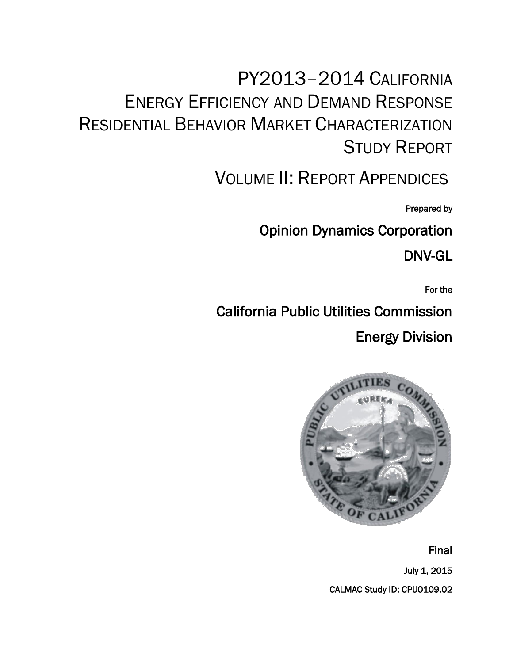# PY2013–2014 CALIFORNIA ENERGY EFFICIENCY AND DEMAND RESPONSE RESIDENTIAL BEHAVIOR MARKET CHARACTERIZATION STUDY REPORT

VOLUME II: REPORT APPENDICES

Prepared by

Opinion Dynamics Corporation

DNV-GL

For the

California Public Utilities Commission

Energy Division



Final

July 1, 2015 CALMAC Study ID: CPU0109.02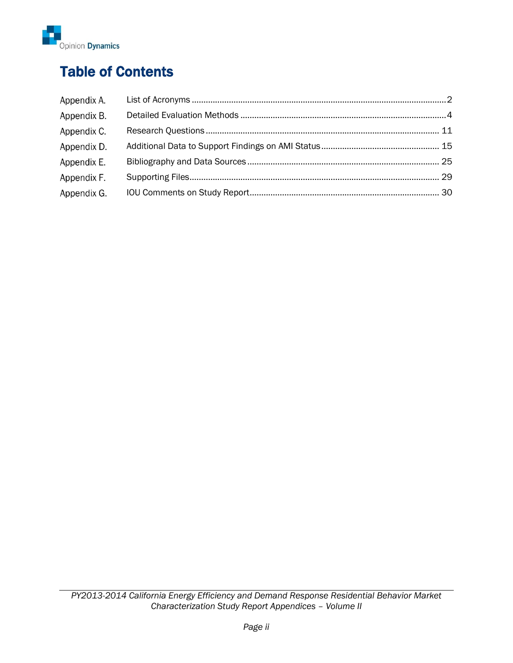

## Table of Contents

| Appendix A. |  |
|-------------|--|
| Appendix B. |  |
| Appendix C. |  |
| Appendix D. |  |
| Appendix E. |  |
| Appendix F. |  |
| Appendix G. |  |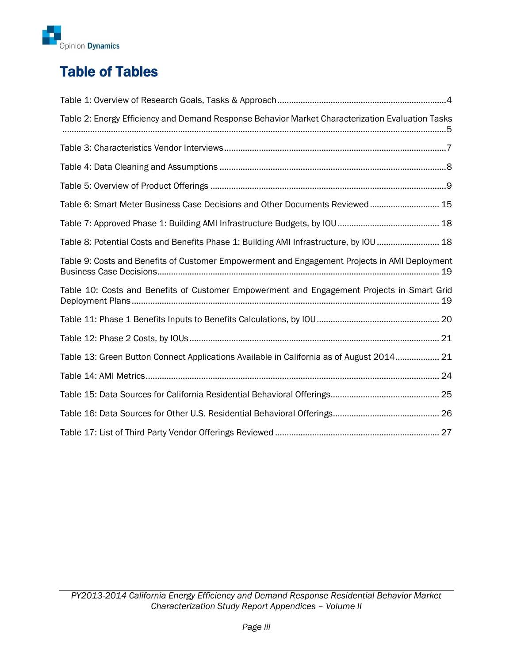

## Table of Tables

| Table 2: Energy Efficiency and Demand Response Behavior Market Characterization Evaluation Tasks |  |
|--------------------------------------------------------------------------------------------------|--|
|                                                                                                  |  |
|                                                                                                  |  |
|                                                                                                  |  |
| Table 6: Smart Meter Business Case Decisions and Other Documents Reviewed 15                     |  |
|                                                                                                  |  |
| Table 8: Potential Costs and Benefits Phase 1: Building AMI Infrastructure, by IOU  18           |  |
| Table 9: Costs and Benefits of Customer Empowerment and Engagement Projects in AMI Deployment    |  |
| Table 10: Costs and Benefits of Customer Empowerment and Engagement Projects in Smart Grid       |  |
|                                                                                                  |  |
|                                                                                                  |  |
| Table 13: Green Button Connect Applications Available in California as of August 2014 21         |  |
|                                                                                                  |  |
|                                                                                                  |  |
|                                                                                                  |  |
|                                                                                                  |  |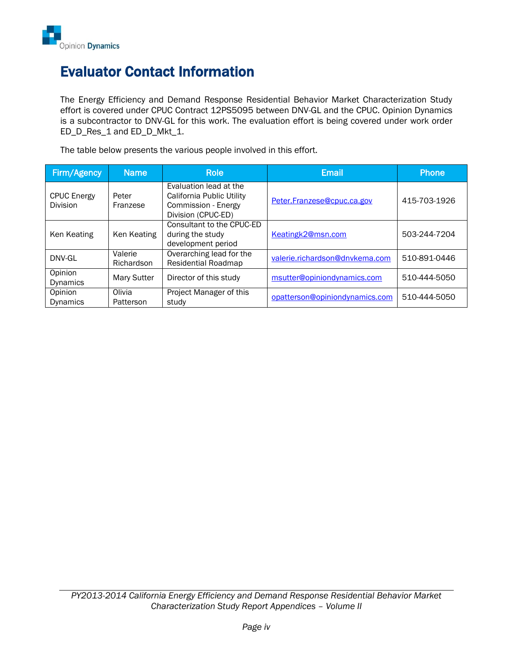

## Evaluator Contact Information

The Energy Efficiency and Demand Response Residential Behavior Market Characterization Study effort is covered under CPUC Contract 12PS5095 between DNV-GL and the CPUC. Opinion Dynamics is a subcontractor to DNV-GL for this work. The evaluation effort is being covered under work order ED\_D\_Res\_1 and ED\_D\_Mkt\_1.

The table below presents the various people involved in this effort.

| Firm/Agency                           | Name                  | <b>Role</b>                                                                                      | <b>Email</b>                   | <b>Phone</b> |
|---------------------------------------|-----------------------|--------------------------------------------------------------------------------------------------|--------------------------------|--------------|
| <b>CPUC Energy</b><br><b>Division</b> | Peter<br>Franzese     | Evaluation lead at the<br>California Public Utility<br>Commission - Energy<br>Division (CPUC-ED) | Peter.Franzese@cpuc.ca.gov     | 415-703-1926 |
| Ken Keating                           | Ken Keating           | Consultant to the CPUC-ED<br>during the study<br>development period                              | Keatingk2@msn.com              | 503-244-7204 |
| DNV-GL                                | Valerie<br>Richardson | Overarching lead for the<br><b>Residential Roadmap</b>                                           | valerie.richardson@dnvkema.com | 510-891-0446 |
| Opinion<br><b>Dynamics</b>            | <b>Mary Sutter</b>    | Director of this study                                                                           | msutter@opiniondynamics.com    | 510-444-5050 |
| Opinion<br>Dynamics                   | Olivia<br>Patterson   | Project Manager of this<br>study                                                                 | opatterson@opiniondynamics.com | 510-444-5050 |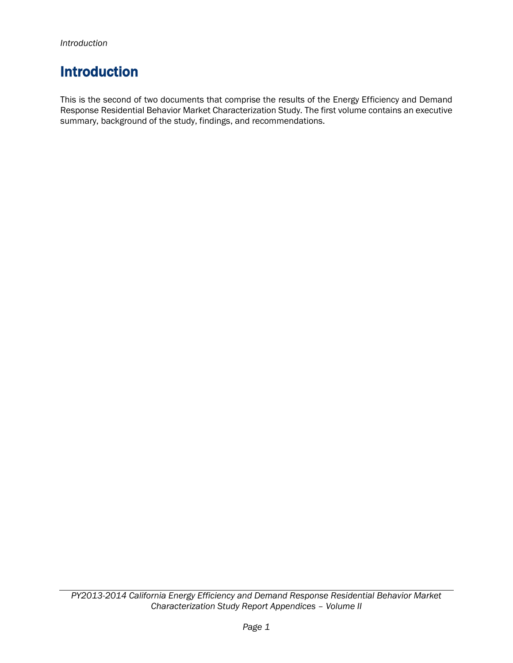## Introduction

This is the second of two documents that comprise the results of the Energy Efficiency and Demand Response Residential Behavior Market Characterization Study. The first volume contains an executive summary, background of the study, findings, and recommendations.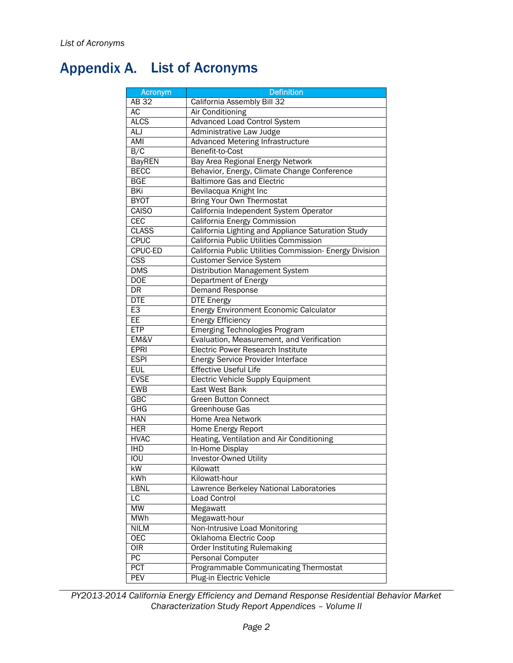## <span id="page-5-0"></span>Appendix A. List of Acronyms

| <b>Acronym</b>           | <b>Definition</b>                                       |
|--------------------------|---------------------------------------------------------|
| <b>AB32</b>              | California Assembly Bill 32                             |
| AC                       | Air Conditioning                                        |
| <b>ALCS</b>              | <b>Advanced Load Control System</b>                     |
| ALJ                      | Administrative Law Judge                                |
| AMI                      | Advanced Metering Infrastructure                        |
| B/C                      | Benefit-to-Cost                                         |
| <b>BayREN</b>            | Bay Area Regional Energy Network                        |
| <b>BECC</b>              | Behavior, Energy, Climate Change Conference             |
| <b>BGE</b>               | <b>Baltimore Gas and Electric</b>                       |
| BKi                      | Bevilacqua Knight Inc                                   |
| <b>BYOT</b>              | Bring Your Own Thermostat                               |
| <b>CAISO</b>             | California Independent System Operator                  |
| <b>CEC</b>               | California Energy Commission                            |
| <b>CLASS</b>             | California Lighting and Appliance Saturation Study      |
| <b>CPUC</b>              | California Public Utilities Commission                  |
| <b>CPUC-ED</b>           | California Public Utilities Commission- Energy Division |
| $\overline{\text{CSS}}$  | <b>Customer Service System</b>                          |
| <b>DMS</b>               | Distribution Management System                          |
| <b>DOE</b>               | Department of Energy                                    |
| $\overline{\mathsf{DR}}$ | <b>Demand Response</b>                                  |
| <b>DTE</b>               | <b>DTE Energy</b>                                       |
| E <sub>3</sub>           | Energy Environment Economic Calculator                  |
| EE                       | <b>Energy Efficiency</b>                                |
| <b>ETP</b>               | <b>Emerging Technologies Program</b>                    |
| EM&V                     | Evaluation, Measurement, and Verification               |
| <b>EPRI</b>              | Electric Power Research Institute                       |
| <b>ESPI</b>              | <b>Energy Service Provider Interface</b>                |
| <b>EUL</b>               | <b>Effective Useful Life</b>                            |
| <b>EVSE</b>              | <b>Electric Vehicle Supply Equipment</b>                |
| <b>EWB</b>               | East West Bank                                          |
| GBC                      | <b>Green Button Connect</b>                             |
| GHG                      | Greenhouse Gas                                          |
| <b>HAN</b>               | <b>Home Area Network</b>                                |
| <b>HER</b>               | Home Energy Report                                      |
| <b>HVAC</b>              | Heating, Ventilation and Air Conditioning               |
| <b>IHD</b>               | In-Home Display                                         |
| IOU                      | <b>Investor-Owned Utility</b>                           |
| kW                       | Kilowatt                                                |
| kWh                      | Kilowatt-hour                                           |
| LBNL                     | Lawrence Berkeley National Laboratories                 |
| $\overline{\text{LC}}$   | <b>Load Control</b>                                     |
| MW                       | Megawatt                                                |
| <b>MWh</b>               | Megawatt-hour                                           |
| <b>NILM</b>              | Non-Intrusive Load Monitoring                           |
| OEC                      | Oklahoma Electric Coop                                  |
| OIR                      | <b>Order Instituting Rulemaking</b>                     |
| PC                       | Personal Computer                                       |
| <b>PCT</b>               | Programmable Communicating Thermostat                   |
| <b>PEV</b>               | Plug-in Electric Vehicle                                |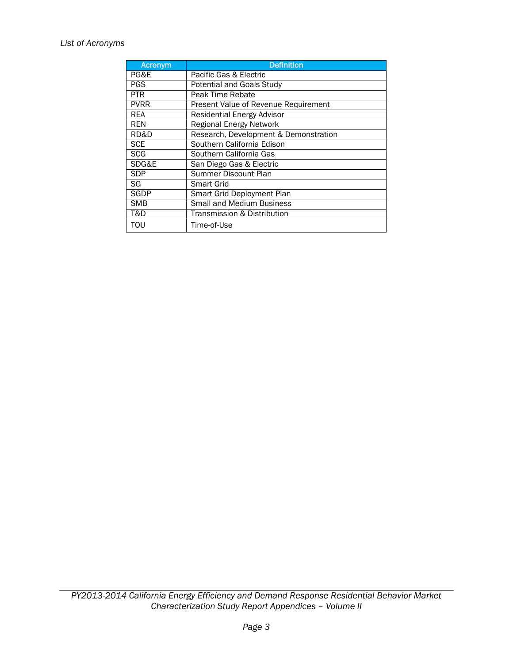### *List of Acronyms*

| <b>Acronym</b> | <b>Definition</b>                     |
|----------------|---------------------------------------|
| PG&E           | Pacific Gas & Electric                |
| <b>PGS</b>     | <b>Potential and Goals Study</b>      |
| <b>PTR</b>     | Peak Time Rebate                      |
| <b>PVRR</b>    | Present Value of Revenue Requirement  |
| REA            | <b>Residential Energy Advisor</b>     |
| <b>REN</b>     | Regional Energy Network               |
| RD&D           | Research, Development & Demonstration |
| <b>SCE</b>     | Southern California Edison            |
| <b>SCG</b>     | Southern California Gas               |
| SDG&E          | San Diego Gas & Electric              |
| <b>SDP</b>     | Summer Discount Plan                  |
| SG             | Smart Grid                            |
| SGDP           | Smart Grid Deployment Plan            |
| <b>SMB</b>     | <b>Small and Medium Business</b>      |
| T&D            | Transmission & Distribution           |
| ΤΟυ            | Time-of-Use                           |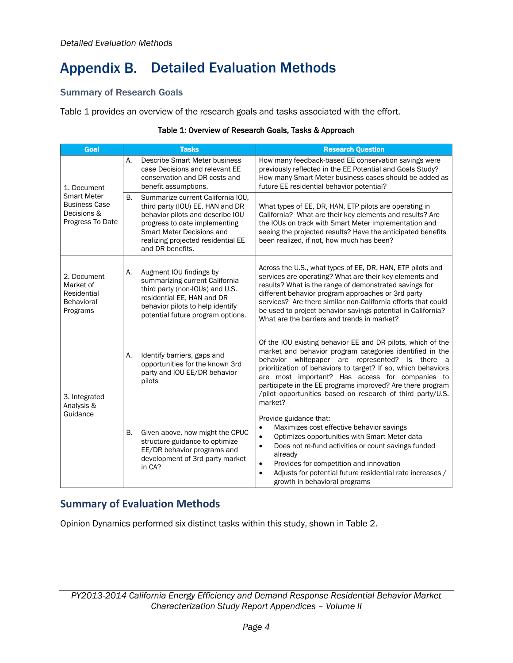## <span id="page-7-0"></span>**Appendix B. Detailed Evaluation Methods**

## Summary of Research Goals

[Table 1](#page-7-1) provides an overview of the research goals and tasks associated with the effort.

<span id="page-7-1"></span>

| <b>Goal</b>                                                                                  |    | <b>Tasks</b>                                                                                                                                                                                                                      | <b>Research Question</b>                                                                                                                                                                                                                                                                                                                                                                                                              |  |
|----------------------------------------------------------------------------------------------|----|-----------------------------------------------------------------------------------------------------------------------------------------------------------------------------------------------------------------------------------|---------------------------------------------------------------------------------------------------------------------------------------------------------------------------------------------------------------------------------------------------------------------------------------------------------------------------------------------------------------------------------------------------------------------------------------|--|
| 1. Document<br><b>Smart Meter</b><br><b>Business Case</b><br>Decisions &<br>Progress To Date | А. | Describe Smart Meter business<br>case Decisions and relevant EE<br>conservation and DR costs and<br>benefit assumptions.                                                                                                          | How many feedback-based EE conservation savings were<br>previously reflected in the EE Potential and Goals Study?<br>How many Smart Meter business cases should be added as<br>future EE residential behavior potential?                                                                                                                                                                                                              |  |
|                                                                                              | В. | Summarize current California IOU,<br>third party (IOU) EE, HAN and DR<br>behavior pilots and describe IOU<br>progress to date implementing<br>Smart Meter Decisions and<br>realizing projected residential EE<br>and DR benefits. | What types of EE, DR, HAN, ETP pilots are operating in<br>California? What are their key elements and results? Are<br>the IOUs on track with Smart Meter implementation and<br>seeing the projected results? Have the anticipated benefits<br>been realized, if not, how much has been?                                                                                                                                               |  |
| 2. Document<br>Market of<br>Residential<br><b>Behavioral</b><br>Programs                     | А. | Augment IOU findings by<br>summarizing current California<br>third party (non-IOUs) and U.S.<br>residential EE, HAN and DR<br>behavior pilots to help identify<br>potential future program options.                               | Across the U.S., what types of EE, DR, HAN, ETP pilots and<br>services are operating? What are their key elements and<br>results? What is the range of demonstrated savings for<br>different behavior program approaches or 3rd party<br>services? Are there similar non-California efforts that could<br>be used to project behavior savings potential in California?<br>What are the barriers and trends in market?                 |  |
| 3. Integrated<br>Analysis &<br>Guidance                                                      | A. | Identify barriers, gaps and<br>opportunities for the known 3rd<br>party and IOU EE/DR behavior<br>pilots                                                                                                                          | Of the IOU existing behavior EE and DR pilots, which of the<br>market and behavior program categories identified in the<br>behavior whitepaper are represented? Is there a<br>prioritization of behaviors to target? If so, which behaviors<br>are most important? Has access for companies to<br>participate in the EE programs improved? Are there program<br>/pilot opportunities based on research of third party/U.S.<br>market? |  |
|                                                                                              | В. | Given above, how might the CPUC<br>structure guidance to optimize<br>EE/DR behavior programs and<br>development of 3rd party market<br>in CA?                                                                                     | Provide guidance that:<br>Maximizes cost effective behavior savings<br>$\bullet$<br>Optimizes opportunities with Smart Meter data<br>$\bullet$<br>Does not re-fund activities or count savings funded<br>$\bullet$<br>already<br>Provides for competition and innovation<br>$\bullet$<br>Adjusts for potential future residential rate increases /<br>$\bullet$<br>growth in behavioral programs                                      |  |

#### Table 1: Overview of Research Goals, Tasks & Approach

## **Summary of Evaluation Methods**

Opinion Dynamics performed six distinct tasks within this study, shown in [Table 2.](#page-8-0)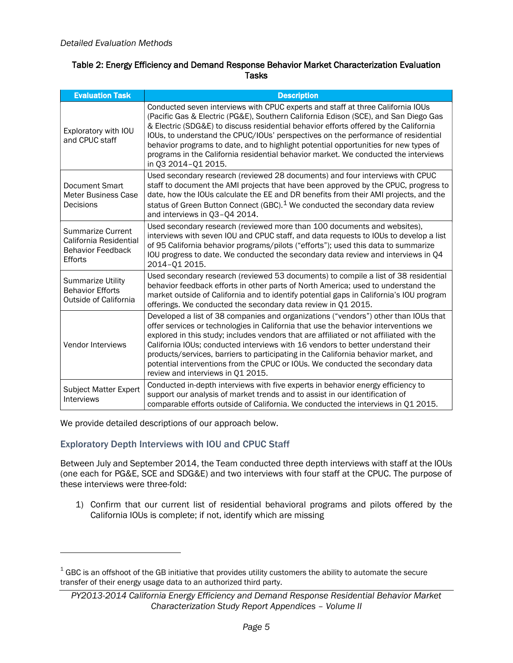#### <span id="page-8-0"></span>Table 2: Energy Efficiency and Demand Response Behavior Market Characterization Evaluation **Tasks**

| <b>Evaluation Task</b>                                                                    | <b>Description</b>                                                                                                                                                                                                                                                                                                                                                                                                                                                                                                                                                      |
|-------------------------------------------------------------------------------------------|-------------------------------------------------------------------------------------------------------------------------------------------------------------------------------------------------------------------------------------------------------------------------------------------------------------------------------------------------------------------------------------------------------------------------------------------------------------------------------------------------------------------------------------------------------------------------|
| Exploratory with IOU<br>and CPUC staff                                                    | Conducted seven interviews with CPUC experts and staff at three California IOUs<br>(Pacific Gas & Electric (PG&E), Southern California Edison (SCE), and San Diego Gas<br>& Electric (SDG&E) to discuss residential behavior efforts offered by the California<br>IOUs, to understand the CPUC/IOUs' perspectives on the performance of residential<br>behavior programs to date, and to highlight potential opportunities for new types of<br>programs in the California residential behavior market. We conducted the interviews<br>in Q3 2014-Q1 2015.               |
| Document Smart<br><b>Meter Business Case</b><br>Decisions                                 | Used secondary research (reviewed 28 documents) and four interviews with CPUC<br>staff to document the AMI projects that have been approved by the CPUC, progress to<br>date, how the IOUs calculate the EE and DR benefits from their AMI projects, and the<br>status of Green Button Connect (GBC). <sup>1</sup> We conducted the secondary data review<br>and interviews in Q3-Q4 2014.                                                                                                                                                                              |
| <b>Summarize Current</b><br>California Residential<br><b>Behavior Feedback</b><br>Efforts | Used secondary research (reviewed more than 100 documents and websites),<br>interviews with seven IOU and CPUC staff, and data requests to IOUs to develop a list<br>of 95 California behavior programs/pilots ("efforts"); used this data to summarize<br>IOU progress to date. We conducted the secondary data review and interviews in Q4<br>2014-01 2015.                                                                                                                                                                                                           |
| <b>Summarize Utility</b><br><b>Behavior Efforts</b><br>Outside of California              | Used secondary research (reviewed 53 documents) to compile a list of 38 residential<br>behavior feedback efforts in other parts of North America; used to understand the<br>market outside of California and to identify potential gaps in California's IOU program<br>offerings. We conducted the secondary data review in Q1 2015.                                                                                                                                                                                                                                    |
| Vendor Interviews                                                                         | Developed a list of 38 companies and organizations ("vendors") other than IOUs that<br>offer services or technologies in California that use the behavior interventions we<br>explored in this study; includes vendors that are affiliated or not affiliated with the<br>California IOUs; conducted interviews with 16 vendors to better understand their<br>products/services, barriers to participating in the California behavior market, and<br>potential interventions from the CPUC or IOUs. We conducted the secondary data<br>review and interviews in Q1 2015. |
| <b>Subject Matter Expert</b><br>Interviews                                                | Conducted in-depth interviews with five experts in behavior energy efficiency to<br>support our analysis of market trends and to assist in our identification of<br>comparable efforts outside of California. We conducted the interviews in Q1 2015.                                                                                                                                                                                                                                                                                                                   |

<span id="page-8-1"></span>We provide detailed descriptions of our approach below.

 $\overline{a}$ 

## Exploratory Depth Interviews with IOU and CPUC Staff

Between July and September 2014, the Team conducted three depth interviews with staff at the IOUs (one each for PG&E, SCE and SDG&E) and two interviews with four staff at the CPUC. The purpose of these interviews were three-fold:

1) Confirm that our current list of residential behavioral programs and pilots offered by the California IOUs is complete; if not, identify which are missing

 $^{\rm 1}$  GBC is an offshoot of the GB initiative that provides utility customers the ability to automate the secure transfer of their energy usage data to an authorized third party.

*PY2013-2014 California Energy Efficiency and Demand Response Residential Behavior Market Characterization Study Report Appendices – Volume II*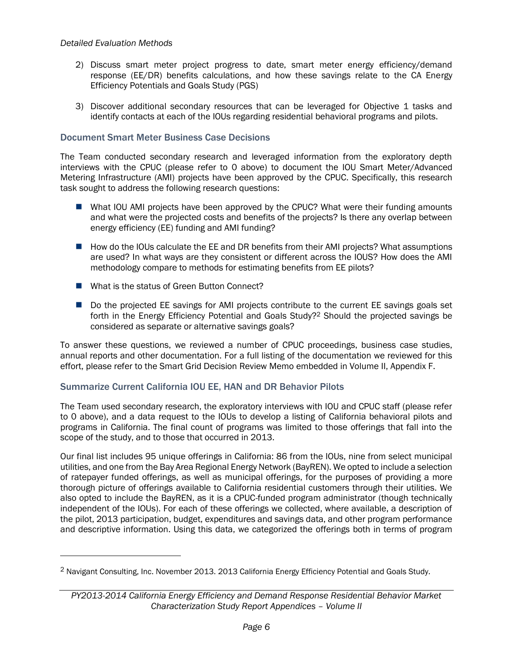- 2) Discuss smart meter project progress to date, smart meter energy efficiency/demand response (EE/DR) benefits calculations, and how these savings relate to the CA Energy Efficiency Potentials and Goals Study (PGS)
- 3) Discover additional secondary resources that can be leveraged for Objective 1 tasks and identify contacts at each of the IOUs regarding residential behavioral programs and pilots.

### Document Smart Meter Business Case Decisions

The Team conducted secondary research and leveraged information from the exploratory depth interviews with the CPUC (please refer to [0](#page-8-1) above) to document the IOU Smart Meter/Advanced Metering Infrastructure (AMI) projects have been approved by the CPUC. Specifically, this research task sought to address the following research questions:

- What IOU AMI projects have been approved by the CPUC? What were their funding amounts and what were the projected costs and benefits of the projects? Is there any overlap between energy efficiency (EE) funding and AMI funding?
- How do the IOUs calculate the EE and DR benefits from their AMI projects? What assumptions are used? In what ways are they consistent or different across the IOUS? How does the AMI methodology compare to methods for estimating benefits from EE pilots?
- What is the status of Green Button Connect?
- Do the projected EE savings for AMI projects contribute to the current EE savings goals set forth in the Energy Efficiency Potential and Goals Study?<sup>2</sup> Should the projected savings be considered as separate or alternative savings goals?

To answer these questions, we reviewed a number of CPUC proceedings, business case studies, annual reports and other documentation. For a full listing of the documentation we reviewed for this effort, please refer to the Smart Grid Decision Review Memo embedded in Volume II, Appendix F.

### Summarize Current California IOU EE, HAN and DR Behavior Pilots

The Team used secondary research, the exploratory interviews with IOU and CPUC staff (please refer to [0](#page-8-1) above), and a data request to the IOUs to develop a listing of California behavioral pilots and programs in California. The final count of programs was limited to those offerings that fall into the scope of the study, and to those that occurred in 2013.

Our final list includes 95 unique offerings in California: 86 from the IOUs, nine from select municipal utilities, and one from the Bay Area Regional Energy Network (BayREN). We opted to include a selection of ratepayer funded offerings, as well as municipal offerings, for the purposes of providing a more thorough picture of offerings available to California residential customers through their utilities. We also opted to include the BayREN, as it is a CPUC-funded program administrator (though technically independent of the IOUs). For each of these offerings we collected, where available, a description of the pilot, 2013 participation, budget, expenditures and savings data, and other program performance and descriptive information. Using this data, we categorized the offerings both in terms of program

<sup>2</sup> Navigant Consulting, Inc. November 2013. 2013 California Energy Efficiency Potential and Goals Study.

*PY2013-2014 California Energy Efficiency and Demand Response Residential Behavior Market Characterization Study Report Appendices – Volume II*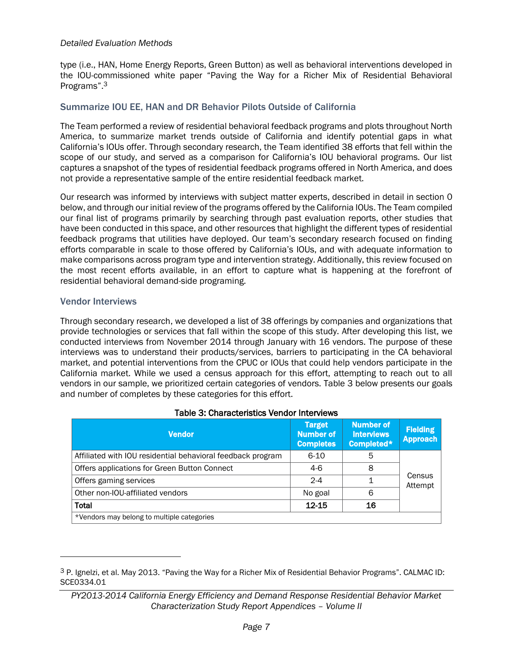#### *Detailed Evaluation Methods*

type (i.e., HAN, Home Energy Reports, Green Button) as well as behavioral interventions developed in the IOU-commissioned white paper "Paving the Way for a Richer Mix of Residential Behavioral Programs".<sup>3</sup>

#### Summarize IOU EE, HAN and DR Behavior Pilots Outside of California

The Team performed a review of residential behavioral feedback programs and plots throughout North America, to summarize market trends outside of California and identify potential gaps in what California's IOUs offer. Through secondary research, the Team identified 38 efforts that fell within the scope of our study, and served as a comparison for California's IOU behavioral programs. Our list captures a snapshot of the types of residential feedback programs offered in North America, and does not provide a representative sample of the entire residential feedback market.

Our research was informed by interviews with subject matter experts, described in detail in section [0](#page-11-1) below, and through our initial review of the programs offered by the California IOUs. The Team compiled our final list of programs primarily by searching through past evaluation reports, other studies that have been conducted in this space, and other resources that highlight the different types of residential feedback programs that utilities have deployed. Our team's secondary research focused on finding efforts comparable in scale to those offered by California's IOUs, and with adequate information to make comparisons across program type and intervention strategy. Additionally, this review focused on the most recent efforts available, in an effort to capture what is happening at the forefront of residential behavioral demand-side programing.

#### Vendor Interviews

Through secondary research, we developed a list of 38 offerings by companies and organizations that provide technologies or services that fall within the scope of this study. After developing this list, we conducted interviews from November 2014 through January with 16 vendors. The purpose of these interviews was to understand their products/services, barriers to participating in the CA behavioral market, and potential interventions from the CPUC or IOUs that could help vendors participate in the California market. While we used a census approach for this effort, attempting to reach out to all vendors in our sample, we prioritized certain categories of vendors. [Table 3](#page-10-0) below presents our goals and number of completes by these categories for this effort.

<span id="page-10-0"></span>

| <b>Vendor</b>                                               | <b>Target</b><br><b>Number of</b><br><b>Completes</b> | <b>Number of</b><br><b>Interviews</b><br>Completed* | <b>Fielding</b><br><b>Approach</b> |
|-------------------------------------------------------------|-------------------------------------------------------|-----------------------------------------------------|------------------------------------|
| Affiliated with IOU residential behavioral feedback program | $6 - 10$                                              | 5                                                   |                                    |
| Offers applications for Green Button Connect                | $4-6$                                                 | 8                                                   |                                    |
| Offers gaming services                                      | $2 - 4$                                               |                                                     | Census<br>Attempt                  |
| Other non-IOU-affiliated vendors                            | No goal                                               | 6                                                   |                                    |
| <b>Total</b>                                                | $12 - 15$                                             | 16                                                  |                                    |
| *Vendors may belong to multiple categories                  |                                                       |                                                     |                                    |

#### Table 3: Characteristics Vendor Interviews

<sup>3</sup> P. Ignelzi, et al. May 2013. "Paving the Way for a Richer Mix of Residential Behavior Programs". CALMAC ID: SCE0334.01

*PY2013-2014 California Energy Efficiency and Demand Response Residential Behavior Market Characterization Study Report Appendices – Volume II*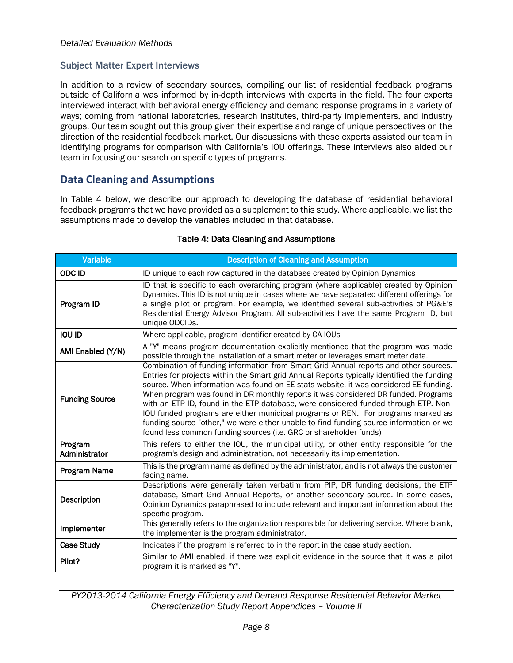## <span id="page-11-1"></span>Subject Matter Expert Interviews

In addition to a review of secondary sources, compiling our list of residential feedback programs outside of California was informed by in-depth interviews with experts in the field. The four experts interviewed interact with behavioral energy efficiency and demand response programs in a variety of ways; coming from national laboratories, research institutes, third-party implementers, and industry groups. Our team sought out this group given their expertise and range of unique perspectives on the direction of the residential feedback market. Our discussions with these experts assisted our team in identifying programs for comparison with California's IOU offerings. These interviews also aided our team in focusing our search on specific types of programs.

## **Data Cleaning and Assumptions**

In [Table 4](#page-11-0) below, we describe our approach to developing the database of residential behavioral feedback programs that we have provided as a supplement to this study. Where applicable, we list the assumptions made to develop the variables included in that database.

<span id="page-11-0"></span>

| <b>Variable</b>          | <b>Description of Cleaning and Assumption</b>                                                                                                                                                                                                                                                                                                                                                                                                                                                                                                                                                                                                                                                               |  |  |
|--------------------------|-------------------------------------------------------------------------------------------------------------------------------------------------------------------------------------------------------------------------------------------------------------------------------------------------------------------------------------------------------------------------------------------------------------------------------------------------------------------------------------------------------------------------------------------------------------------------------------------------------------------------------------------------------------------------------------------------------------|--|--|
| <b>ODCID</b>             | ID unique to each row captured in the database created by Opinion Dynamics                                                                                                                                                                                                                                                                                                                                                                                                                                                                                                                                                                                                                                  |  |  |
| Program ID               | ID that is specific to each overarching program (where applicable) created by Opinion<br>Dynamics. This ID is not unique in cases where we have separated different offerings for<br>a single pilot or program. For example, we identified several sub-activities of PG&E's<br>Residential Energy Advisor Program. All sub-activities have the same Program ID, but<br>unique ODCIDs.                                                                                                                                                                                                                                                                                                                       |  |  |
| <b>IOU ID</b>            | Where applicable, program identifier created by CA IOUs                                                                                                                                                                                                                                                                                                                                                                                                                                                                                                                                                                                                                                                     |  |  |
| AMI Enabled (Y/N)        | A "Y" means program documentation explicitly mentioned that the program was made<br>possible through the installation of a smart meter or leverages smart meter data.                                                                                                                                                                                                                                                                                                                                                                                                                                                                                                                                       |  |  |
| <b>Funding Source</b>    | Combination of funding information from Smart Grid Annual reports and other sources.<br>Entries for projects within the Smart grid Annual Reports typically identified the funding<br>source. When information was found on EE stats website, it was considered EE funding.<br>When program was found in DR monthly reports it was considered DR funded. Programs<br>with an ETP ID, found in the ETP database, were considered funded through ETP. Non-<br>IOU funded programs are either municipal programs or REN. For programs marked as<br>funding source "other," we were either unable to find funding source information or we<br>found less common funding sources (i.e. GRC or shareholder funds) |  |  |
| Program<br>Administrator | This refers to either the IOU, the municipal utility, or other entity responsible for the<br>program's design and administration, not necessarily its implementation.                                                                                                                                                                                                                                                                                                                                                                                                                                                                                                                                       |  |  |
| <b>Program Name</b>      | This is the program name as defined by the administrator, and is not always the customer<br>facing name.                                                                                                                                                                                                                                                                                                                                                                                                                                                                                                                                                                                                    |  |  |
| Description              | Descriptions were generally taken verbatim from PIP, DR funding decisions, the ETP<br>database, Smart Grid Annual Reports, or another secondary source. In some cases,<br>Opinion Dynamics paraphrased to include relevant and important information about the<br>specific program.                                                                                                                                                                                                                                                                                                                                                                                                                         |  |  |
| Implementer              | This generally refers to the organization responsible for delivering service. Where blank,<br>the implementer is the program administrator.                                                                                                                                                                                                                                                                                                                                                                                                                                                                                                                                                                 |  |  |
| <b>Case Study</b>        | Indicates if the program is referred to in the report in the case study section.                                                                                                                                                                                                                                                                                                                                                                                                                                                                                                                                                                                                                            |  |  |
| Pilot?                   | Similar to AMI enabled, if there was explicit evidence in the source that it was a pilot<br>program it is marked as "Y".                                                                                                                                                                                                                                                                                                                                                                                                                                                                                                                                                                                    |  |  |

### Table 4: Data Cleaning and Assumptions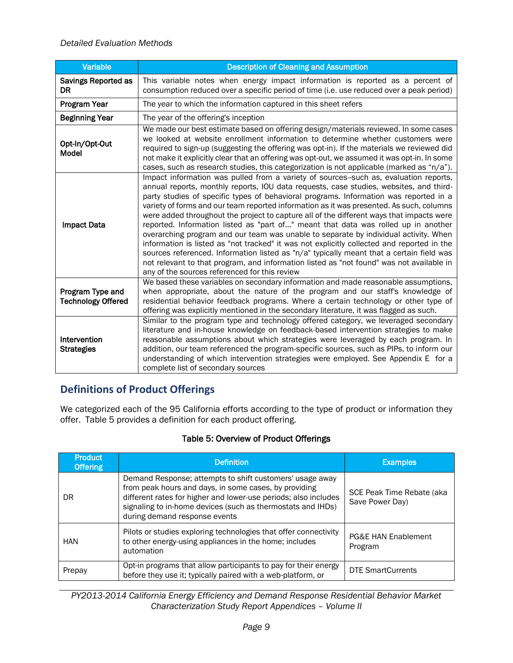#### *Detailed Evaluation Methods*

| <b>Variable</b>                               | <b>Description of Cleaning and Assumption</b>                                                                                                                                                                                                                                                                                                                                                                                                                                                                                                                                                                                                                                                                                                                                                                                                                                                                                                                                         |
|-----------------------------------------------|---------------------------------------------------------------------------------------------------------------------------------------------------------------------------------------------------------------------------------------------------------------------------------------------------------------------------------------------------------------------------------------------------------------------------------------------------------------------------------------------------------------------------------------------------------------------------------------------------------------------------------------------------------------------------------------------------------------------------------------------------------------------------------------------------------------------------------------------------------------------------------------------------------------------------------------------------------------------------------------|
| <b>Savings Reported as</b><br><b>DR</b>       | This variable notes when energy impact information is reported as a percent of<br>consumption reduced over a specific period of time (i.e. use reduced over a peak period)                                                                                                                                                                                                                                                                                                                                                                                                                                                                                                                                                                                                                                                                                                                                                                                                            |
| Program Year                                  | The year to which the information captured in this sheet refers                                                                                                                                                                                                                                                                                                                                                                                                                                                                                                                                                                                                                                                                                                                                                                                                                                                                                                                       |
| <b>Beginning Year</b>                         | The year of the offering's inception                                                                                                                                                                                                                                                                                                                                                                                                                                                                                                                                                                                                                                                                                                                                                                                                                                                                                                                                                  |
| Opt-In/Opt-Out<br>Model                       | We made our best estimate based on offering design/materials reviewed. In some cases<br>we looked at website enrollment information to determine whether customers were<br>required to sign-up (suggesting the offering was opt-in). If the materials we reviewed did<br>not make it explicitly clear that an offering was opt-out, we assumed it was opt-in. In some<br>cases, such as research studies, this categorization is not applicable (marked as "n/a").                                                                                                                                                                                                                                                                                                                                                                                                                                                                                                                    |
| <b>Impact Data</b>                            | Impact information was pulled from a variety of sources--such as, evaluation reports,<br>annual reports, monthly reports, IOU data requests, case studies, websites, and third-<br>party studies of specific types of behavioral programs. Information was reported in a<br>variety of forms and our team reported information as it was presented. As such, columns<br>were added throughout the project to capture all of the different ways that impacts were<br>reported. Information listed as "part of" meant that data was rolled up in another<br>overarching program and our team was unable to separate by individual activity. When<br>information is listed as "not tracked" it was not explicitly collected and reported in the<br>sources referenced. Information listed as "n/a" typically meant that a certain field was<br>not relevant to that program, and information listed as "not found" was not available in<br>any of the sources referenced for this review |
| Program Type and<br><b>Technology Offered</b> | We based these variables on secondary information and made reasonable assumptions,<br>when appropriate, about the nature of the program and our staff's knowledge of<br>residential behavior feedback programs. Where a certain technology or other type of<br>offering was explicitly mentioned in the secondary literature, it was flagged as such.                                                                                                                                                                                                                                                                                                                                                                                                                                                                                                                                                                                                                                 |
| Intervention<br><b>Strategies</b>             | Similar to the program type and technology offered category, we leveraged secondary<br>literature and in-house knowledge on feedback-based intervention strategies to make<br>reasonable assumptions about which strategies were leveraged by each program. In<br>addition, our team referenced the program-specific sources, such as PIPs, to inform our<br>understanding of which intervention strategies were employed. See Appendix E for a<br>complete list of secondary sources                                                                                                                                                                                                                                                                                                                                                                                                                                                                                                 |

## **Definitions of Product Offerings**

We categorized each of the 95 California efforts according to the type of product or information they offer. [Table 5](#page-12-0) provides a definition for each product offering.

### Table 5: Overview of Product Offerings

<span id="page-12-0"></span>

| <b>Product</b><br><b>Offering</b> | <b>Definition</b>                                                                                                                                                                                                                                                                    | <b>Examples</b>                              |
|-----------------------------------|--------------------------------------------------------------------------------------------------------------------------------------------------------------------------------------------------------------------------------------------------------------------------------------|----------------------------------------------|
| DR                                | Demand Response; attempts to shift customers' usage away<br>from peak hours and days, in some cases, by providing<br>different rates for higher and lower-use periods; also includes<br>signaling to in-home devices (such as thermostats and IHDs)<br>during demand response events | SCE Peak Time Rebate (aka<br>Save Power Day) |
| HAN                               | Pilots or studies exploring technologies that offer connectivity<br>to other energy-using appliances in the home; includes<br>automation                                                                                                                                             | <b>PG&amp;E HAN Enablement</b><br>Program    |
| Prepay                            | Opt-in programs that allow participants to pay for their energy<br>before they use it; typically paired with a web-platform, or                                                                                                                                                      | <b>DTE SmartCurrents</b>                     |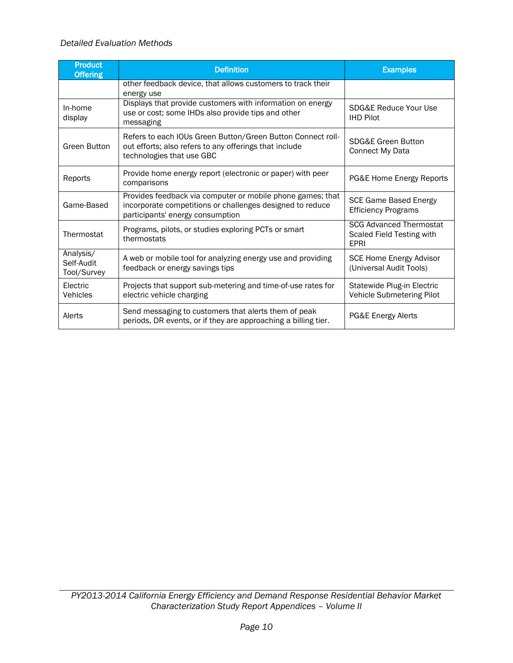#### *Detailed Evaluation Methods*

| <b>Product</b><br><b>Offering</b>      | <b>Definition</b>                                                                                                                                           | <b>Examples</b>                                                            |
|----------------------------------------|-------------------------------------------------------------------------------------------------------------------------------------------------------------|----------------------------------------------------------------------------|
|                                        | other feedback device, that allows customers to track their<br>energy use                                                                                   |                                                                            |
| In-home<br>display                     | Displays that provide customers with information on energy<br>use or cost; some IHDs also provide tips and other<br>messaging                               | SDG&E Reduce Your Use<br><b>IHD Pilot</b>                                  |
| <b>Green Button</b>                    | Refers to each IOUs Green Button/Green Button Connect roll-<br>out efforts; also refers to any offerings that include<br>technologies that use GBC          | <b>SDG&amp;E Green Button</b><br>Connect My Data                           |
| Reports                                | Provide home energy report (electronic or paper) with peer<br>comparisons                                                                                   | PG&E Home Energy Reports                                                   |
| Game-Based                             | Provides feedback via computer or mobile phone games; that<br>incorporate competitions or challenges designed to reduce<br>participants' energy consumption | <b>SCE Game Based Energy</b><br><b>Efficiency Programs</b>                 |
| Thermostat                             | Programs, pilots, or studies exploring PCTs or smart<br>thermostats                                                                                         | <b>SCG Advanced Thermostat</b><br>Scaled Field Testing with<br><b>EPRI</b> |
| Analysis/<br>Self-Audit<br>Tool/Survey | A web or mobile tool for analyzing energy use and providing<br>feedback or energy savings tips                                                              | SCE Home Energy Advisor<br>(Universal Audit Tools)                         |
| Electric<br><b>Vehicles</b>            | Projects that support sub-metering and time-of-use rates for<br>electric vehicle charging                                                                   | Statewide Plug-in Electric<br>Vehicle Submetering Pilot                    |
| Alerts                                 | Send messaging to customers that alerts them of peak<br>periods, DR events, or if they are approaching a billing tier.                                      | PG&E Energy Alerts                                                         |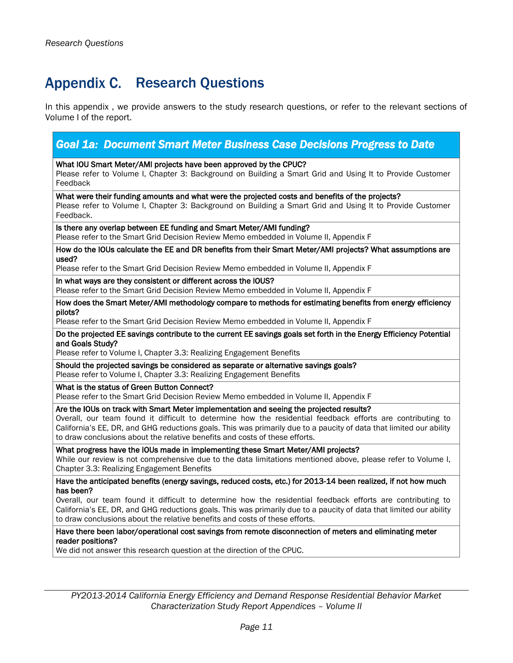## <span id="page-14-0"></span>Appendix C. Research Questions

In this appendix , we provide answers to the study research questions, or refer to the relevant sections of Volume I of the report.

### *Goal 1a: Document Smart Meter Business Case Decisions Progress to Date*  What IOU Smart Meter/AMI projects have been approved by the CPUC? Please refer to Volume I, Chapter 3: Background on Building a Smart Grid and Using It to Provide Customer Feedback What were their funding amounts and what were the projected costs and benefits of the projects? Please refer to Volume I, Chapter 3: Background on Building a Smart Grid and Using It to Provide Customer Feedback. Is there any overlap between EE funding and Smart Meter/AMI funding? Please refer to the Smart Grid Decision Review Memo embedded in Volume II, Appendix F How do the IOUs calculate the EE and DR benefits from their Smart Meter/AMI projects? What assumptions are used? Please refer to the Smart Grid Decision Review Memo embedded in Volume II, Appendix F In what ways are they consistent or different across the IOUS? Please refer to the Smart Grid Decision Review Memo embedded in Volume II, Appendix F How does the Smart Meter/AMI methodology compare to methods for estimating benefits from energy efficiency pilots? Please refer to the Smart Grid Decision Review Memo embedded in Volume II, Appendix F Do the projected EE savings contribute to the current EE savings goals set forth in the Energy Efficiency Potential and Goals Study? Please refer to Volume I, Chapter 3.3: Realizing Engagement Benefits Should the projected savings be considered as separate or alternative savings goals? Please refer to Volume I, Chapter 3.3: Realizing Engagement Benefits What is the status of Green Button Connect? Please refer to the Smart Grid Decision Review Memo embedded in Volume II, Appendix F Are the IOUs on track with Smart Meter implementation and seeing the projected results? Overall, our team found it difficult to determine how the residential feedback efforts are contributing to California's EE, DR, and GHG reductions goals. This was primarily due to a paucity of data that limited our ability to draw conclusions about the relative benefits and costs of these efforts. What progress have the IOUs made in implementing these Smart Meter/AMI projects? While our review is not comprehensive due to the data limitations mentioned above, please refer to Volume I, Chapter 3.3: Realizing Engagement Benefits Have the anticipated benefits (energy savings, reduced costs, etc.) for 2013-14 been realized, if not how much has been? Overall, our team found it difficult to determine how the residential feedback efforts are contributing to California's EE, DR, and GHG reductions goals. This was primarily due to a paucity of data that limited our ability to draw conclusions about the relative benefits and costs of these efforts. Have there been labor/operational cost savings from remote disconnection of meters and eliminating meter reader positions?

We did not answer this research question at the direction of the CPUC.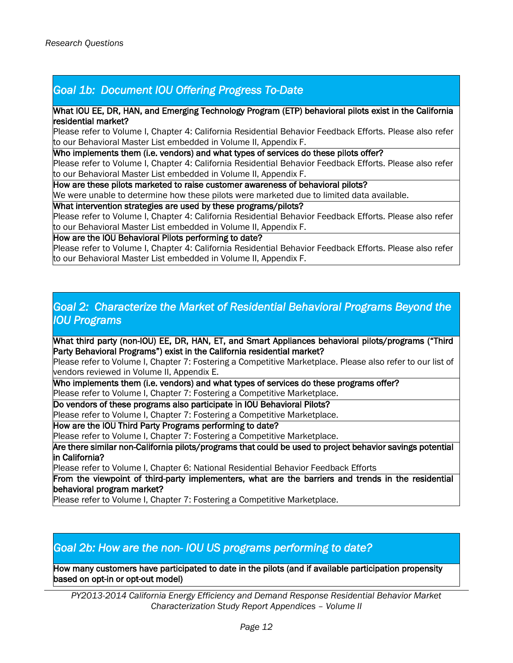## *Goal 1b: Document IOU Offering Progress To-Date*

#### What IOU EE, DR, HAN, and Emerging Technology Program (ETP) behavioral pilots exist in the California residential market?

Please refer to Volume I, Chapter 4: California Residential Behavior Feedback Efforts. Please also refer to our Behavioral Master List embedded in Volume II, Appendix F.

Who implements them (i.e. vendors) and what types of services do these pilots offer?

Please refer to Volume I, Chapter 4: California Residential Behavior Feedback Efforts. Please also refer to our Behavioral Master List embedded in Volume II, Appendix F.

How are these pilots marketed to raise customer awareness of behavioral pilots?

We were unable to determine how these pilots were marketed due to limited data available.

#### What intervention strategies are used by these programs/pilots?

Please refer to Volume I, Chapter 4: California Residential Behavior Feedback Efforts. Please also refer to our Behavioral Master List embedded in Volume II, Appendix F.

#### How are the IOU Behavioral Pilots performing to date?

Please refer to Volume I, Chapter 4: California Residential Behavior Feedback Efforts. Please also refer to our Behavioral Master List embedded in Volume II, Appendix F.

## *Goal 2: Characterize the Market of Residential Behavioral Programs Beyond the IOU Programs*

What third party (non-IOU) EE, DR, HAN, ET, and Smart Appliances behavioral pilots/programs ("Third Party Behavioral Programs") exist in the California residential market?

Please refer to Volume I, Chapter 7: Fostering a Competitive Marketplace. Please also refer to our list of vendors reviewed in Volume II, Appendix E.

Who implements them (i.e. vendors) and what types of services do these programs offer? Please refer to Volume I, Chapter 7: Fostering a Competitive Marketplace.

Do vendors of these programs also participate in IOU Behavioral Pilots?

Please refer to Volume I, Chapter 7: Fostering a Competitive Marketplace.

How are the IOU Third Party Programs performing to date?

Please refer to Volume I, Chapter 7: Fostering a Competitive Marketplace.

Are there similar non-California pilots/programs that could be used to project behavior savings potential in California?

Please refer to Volume I, Chapter 6: National Residential Behavior Feedback Efforts

From the viewpoint of third-party implementers, what are the barriers and trends in the residential behavioral program market?

Please refer to Volume I, Chapter 7: Fostering a Competitive Marketplace.

## *Goal 2b: How are the non- IOU US programs performing to date?*

How many customers have participated to date in the pilots (and if available participation propensity based on opt-in or opt-out model)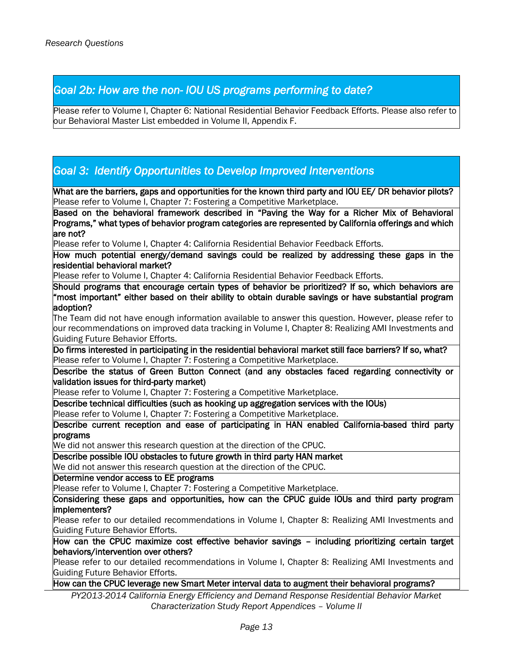## *Goal 2b: How are the non- IOU US programs performing to date?*

Please refer to Volume I, Chapter 6: National Residential Behavior Feedback Efforts. Please also refer to our Behavioral Master List embedded in Volume II, Appendix F.

## *Goal 3: Identify Opportunities to Develop Improved Interventions*

What are the barriers, gaps and opportunities for the known third party and IOU EE/ DR behavior pilots? Please refer to Volume I, Chapter 7: Fostering a Competitive Marketplace.

Based on the behavioral framework described in "Paving the Way for a Richer Mix of Behavioral Programs," what types of behavior program categories are represented by California offerings and which are not?

Please refer to Volume I, Chapter 4: California Residential Behavior Feedback Efforts.

How much potential energy/demand savings could be realized by addressing these gaps in the residential behavioral market?

Please refer to Volume I, Chapter 4: California Residential Behavior Feedback Efforts.

Should programs that encourage certain types of behavior be prioritized? If so, which behaviors are "most important" either based on their ability to obtain durable savings or have substantial program adoption?

The Team did not have enough information available to answer this question. However, please refer to our recommendations on improved data tracking in Volume I, Chapter 8: Realizing AMI Investments and Guiding Future Behavior Efforts.

Do firms interested in participating in the residential behavioral market still face barriers? If so, what? Please refer to Volume I, Chapter 7: Fostering a Competitive Marketplace.

Describe the status of Green Button Connect (and any obstacles faced regarding connectivity or validation issues for third-party market)

Please refer to Volume I, Chapter 7: Fostering a Competitive Marketplace.

Describe technical difficulties (such as hooking up aggregation services with the IOUs) Please refer to Volume I, Chapter 7: Fostering a Competitive Marketplace.

Describe current reception and ease of participating in HAN enabled California-based third party programs

We did not answer this research question at the direction of the CPUC.

Describe possible IOU obstacles to future growth in third party HAN market

We did not answer this research question at the direction of the CPUC.

Determine vendor access to EE programs

Please refer to Volume I, Chapter 7: Fostering a Competitive Marketplace.

Considering these gaps and opportunities, how can the CPUC guide IOUs and third party program implementers?

Please refer to our detailed recommendations in Volume I, Chapter 8: Realizing AMI Investments and Guiding Future Behavior Efforts.

How can the CPUC maximize cost effective behavior savings – including prioritizing certain target behaviors/intervention over others?

Please refer to our detailed recommendations in Volume I, Chapter 8: Realizing AMI Investments and Guiding Future Behavior Efforts.

How can the CPUC leverage new Smart Meter interval data to augment their behavioral programs?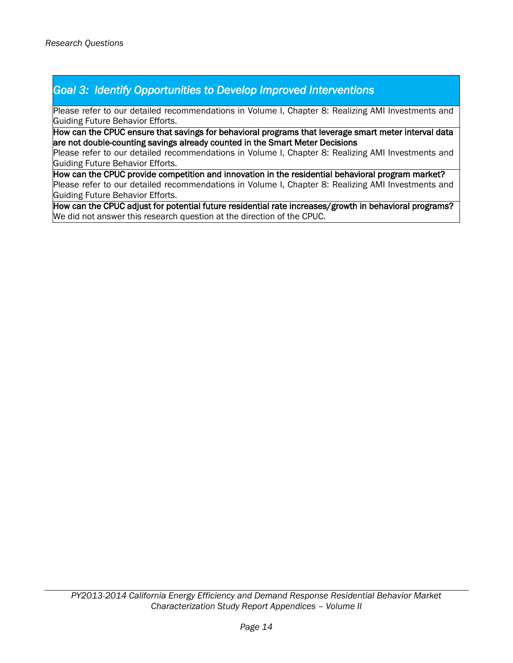## *Goal 3: Identify Opportunities to Develop Improved Interventions*

Please refer to our detailed recommendations in Volume I, Chapter 8: Realizing AMI Investments and Guiding Future Behavior Efforts.

How can the CPUC ensure that savings for behavioral programs that leverage smart meter interval data are not double-counting savings already counted in the Smart Meter Decisions

Please refer to our detailed recommendations in Volume I, Chapter 8: Realizing AMI Investments and Guiding Future Behavior Efforts.

How can the CPUC provide competition and innovation in the residential behavioral program market? Please refer to our detailed recommendations in Volume I, Chapter 8: Realizing AMI Investments and Guiding Future Behavior Efforts.

How can the CPUC adjust for potential future residential rate increases/growth in behavioral programs? We did not answer this research question at the direction of the CPUC.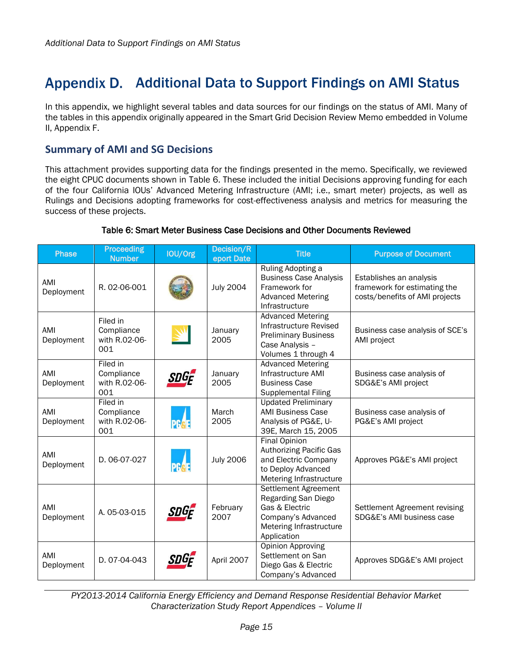## <span id="page-18-0"></span>Appendix D. Additional Data to Support Findings on AMI Status

In this appendix, we highlight several tables and data sources for our findings on the status of AMI. Many of the tables in this appendix originally appeared in the Smart Grid Decision Review Memo embedded in Volume II, Appendix F.

## **Summary of AMI and SG Decisions**

This attachment provides supporting data for the findings presented in the memo. Specifically, we reviewed the eight CPUC documents shown in [Table 6.](#page-18-1) These included the initial Decisions approving funding for each of the four California IOUs' Advanced Metering Infrastructure (AMI; i.e., smart meter) projects, as well as Rulings and Decisions adopting frameworks for cost-effectiveness analysis and metrics for measuring the success of these projects.

### Table 6: Smart Meter Business Case Decisions and Other Documents Reviewed

<span id="page-18-1"></span>

| <b>Phase</b>      | Proceeding<br><b>Number</b>                    | IOU/Org     | Decision/R<br>eport Date | <b>Title</b>                                                                                                                    | <b>Purpose of Document</b>                                                                |
|-------------------|------------------------------------------------|-------------|--------------------------|---------------------------------------------------------------------------------------------------------------------------------|-------------------------------------------------------------------------------------------|
| AMI<br>Deployment | R. 02-06-001                                   |             | <b>July 2004</b>         | Ruling Adopting a<br><b>Business Case Analysis</b><br>Framework for<br><b>Advanced Metering</b><br>Infrastructure               | Establishes an analysis<br>framework for estimating the<br>costs/benefits of AMI projects |
| AMI<br>Deployment | Filed in<br>Compliance<br>with R.02-06-<br>001 | W           | January<br>2005          | <b>Advanced Metering</b><br>Infrastructure Revised<br><b>Preliminary Business</b><br>Case Analysis -<br>Volumes 1 through 4     | Business case analysis of SCE's<br>AMI project                                            |
| AMI<br>Deployment | Filed in<br>Compliance<br>with R.02-06-<br>001 | SDGF        | January<br>2005          | <b>Advanced Metering</b><br>Infrastructure AMI<br><b>Business Case</b><br><b>Supplemental Filing</b>                            | Business case analysis of<br>SDG&E's AMI project                                          |
| AMI<br>Deployment | Filed in<br>Compliance<br>with R.02-06-<br>001 | <b>PGAE</b> | March<br>2005            | <b>Updated Preliminary</b><br><b>AMI Business Case</b><br>Analysis of PG&E, U-<br>39E, March 15, 2005                           | Business case analysis of<br>PG&E's AMI project                                           |
| AMI<br>Deployment | D. 06-07-027                                   | <b>PGRE</b> | <b>July 2006</b>         | <b>Final Opinion</b><br><b>Authorizing Pacific Gas</b><br>and Electric Company<br>to Deploy Advanced<br>Metering Infrastructure | Approves PG&E's AMI project                                                               |
| AMI<br>Deployment | A. 05-03-015                                   | SDGE        | February<br>2007         | Settlement Agreement<br>Regarding San Diego<br>Gas & Electric<br>Company's Advanced<br>Metering Infrastructure<br>Application   | Settlement Agreement revising<br>SDG&E's AMI business case                                |
| AMI<br>Deployment | D. 07-04-043                                   | SDGF        | April 2007               | <b>Opinion Approving</b><br>Settlement on San<br>Diego Gas & Electric<br>Company's Advanced                                     | Approves SDG&E's AMI project                                                              |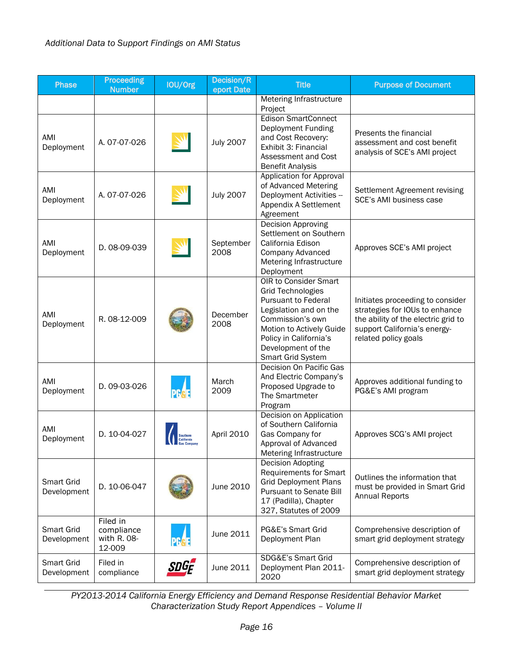| <b>Phase</b>                     | <b>Proceeding</b><br><b>Number</b>              | IOU/Org     | Decision/R<br>eport Date | <b>Title</b>                                                                                                                                                                                                                   | <b>Purpose of Document</b>                                                                                                                                        |
|----------------------------------|-------------------------------------------------|-------------|--------------------------|--------------------------------------------------------------------------------------------------------------------------------------------------------------------------------------------------------------------------------|-------------------------------------------------------------------------------------------------------------------------------------------------------------------|
|                                  |                                                 |             |                          | Metering Infrastructure<br>Project                                                                                                                                                                                             |                                                                                                                                                                   |
| AMI<br>Deployment                | A. 07-07-026                                    |             | <b>July 2007</b>         | <b>Edison SmartConnect</b><br>Deployment Funding<br>and Cost Recovery:<br>Exhibit 3: Financial<br>Assessment and Cost<br><b>Benefit Analysis</b>                                                                               | Presents the financial<br>assessment and cost benefit<br>analysis of SCE's AMI project                                                                            |
| AMI<br>Deployment                | A. 07-07-026                                    |             | <b>July 2007</b>         | Application for Approval<br>of Advanced Metering<br>Deployment Activities --<br>Appendix A Settlement<br>Agreement                                                                                                             | Settlement Agreement revising<br>SCE's AMI business case                                                                                                          |
| AMI<br>Deployment                | D. 08-09-039                                    |             | September<br>2008        | <b>Decision Approving</b><br>Settlement on Southern<br>California Edison<br><b>Company Advanced</b><br>Metering Infrastructure<br>Deployment                                                                                   | Approves SCE's AMI project                                                                                                                                        |
| AMI<br>Deployment                | R. 08-12-009                                    |             | December<br>2008         | OIR to Consider Smart<br><b>Grid Technologies</b><br><b>Pursuant to Federal</b><br>Legislation and on the<br>Commission's own<br>Motion to Actively Guide<br>Policy in California's<br>Development of the<br>Smart Grid System | Initiates proceeding to consider<br>strategies for IOUs to enhance<br>the ability of the electric grid to<br>support California's energy-<br>related policy goals |
| AMI<br>Deployment                | D. 09-03-026                                    | <b>PGAE</b> | March<br>2009            | Decision On Pacific Gas<br>And Electric Company's<br>Proposed Upgrade to<br>The Smartmeter<br>Program                                                                                                                          | Approves additional funding to<br>PG&E's AMI program                                                                                                              |
| AMI<br>Deployment                | D. 10-04-027                                    |             | April 2010               | Decision on Application<br>of Southern California<br>Gas Company for<br>Approval of Advanced<br>Metering Infrastructure                                                                                                        | Approves SCG's AMI project                                                                                                                                        |
| Smart Grid<br>Development        | D. 10-06-047                                    |             | June 2010                | Decision Adopting<br><b>Requirements for Smart</b><br><b>Grid Deployment Plans</b><br><b>Pursuant to Senate Bill</b><br>17 (Padilla), Chapter<br>327, Statutes of 2009                                                         | Outlines the information that<br>must be provided in Smart Grid<br><b>Annual Reports</b>                                                                          |
| Smart Grid<br>Development        | Filed in<br>compliance<br>with R. 08-<br>12-009 | <b>PGGE</b> | June 2011                | PG&E's Smart Grid<br>Deployment Plan                                                                                                                                                                                           | Comprehensive description of<br>smart grid deployment strategy                                                                                                    |
| <b>Smart Grid</b><br>Development | Filed in<br>compliance                          | SDGF        | June 2011                | SDG&E's Smart Grid<br>Deployment Plan 2011-<br>2020                                                                                                                                                                            | Comprehensive description of<br>smart grid deployment strategy                                                                                                    |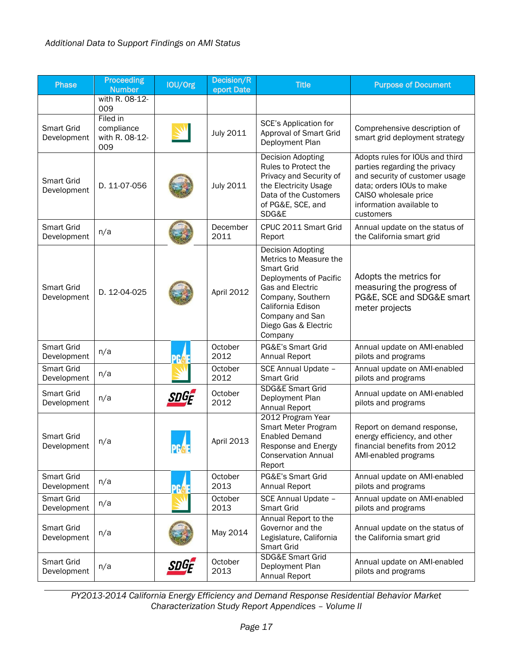| <b>Phase</b>                     | <b>Proceeding</b><br><b>Number</b>              | IOU/Org         | Decision/R<br>eport Date | <b>Title</b>                                                                                                                                                                                            | <b>Purpose of Document</b>                                                                                                                                                                        |
|----------------------------------|-------------------------------------------------|-----------------|--------------------------|---------------------------------------------------------------------------------------------------------------------------------------------------------------------------------------------------------|---------------------------------------------------------------------------------------------------------------------------------------------------------------------------------------------------|
|                                  | with R. 08-12-<br>009                           |                 |                          |                                                                                                                                                                                                         |                                                                                                                                                                                                   |
| <b>Smart Grid</b><br>Development | Filed in<br>compliance<br>with R. 08-12-<br>009 |                 | July 2011                | <b>SCE's Application for</b><br>Approval of Smart Grid<br>Deployment Plan                                                                                                                               | Comprehensive description of<br>smart grid deployment strategy                                                                                                                                    |
| <b>Smart Grid</b><br>Development | D. 11-07-056                                    |                 | <b>July 2011</b>         | Decision Adopting<br>Rules to Protect the<br>Privacy and Security of<br>the Electricity Usage<br>Data of the Customers<br>of PG&E, SCE, and<br>SDG&E                                                    | Adopts rules for IOUs and third<br>parties regarding the privacy<br>and security of customer usage<br>data; orders IOUs to make<br>CAISO wholesale price<br>information available to<br>customers |
| Smart Grid<br>Development        | n/a                                             |                 | December<br>2011         | CPUC 2011 Smart Grid<br>Report                                                                                                                                                                          | Annual update on the status of<br>the California smart grid                                                                                                                                       |
| Smart Grid<br>Development        | D. 12-04-025                                    |                 | April 2012               | Decision Adopting<br>Metrics to Measure the<br>Smart Grid<br>Deployments of Pacific<br>Gas and Electric<br>Company, Southern<br>California Edison<br>Company and San<br>Diego Gas & Electric<br>Company | Adopts the metrics for<br>measuring the progress of<br>PG&E, SCE and SDG&E smart<br>meter projects                                                                                                |
| Smart Grid<br>Development        | n/a                                             | PR              | October<br>2012          | PG&E's Smart Grid<br>Annual Report                                                                                                                                                                      | Annual update on AMI-enabled<br>pilots and programs                                                                                                                                               |
| Smart Grid<br>Development        | n/a                                             |                 | October<br>2012          | SCE Annual Update -<br><b>Smart Grid</b>                                                                                                                                                                | Annual update on AMI-enabled<br>pilots and programs                                                                                                                                               |
| Smart Grid<br>Development        | n/a                                             | SDGF            | October<br>2012          | <b>SDG&amp;E Smart Grid</b><br>Deployment Plan<br>Annual Report                                                                                                                                         | Annual update on AMI-enabled<br>pilots and programs                                                                                                                                               |
| <b>Smart Grid</b><br>Development | n/a                                             | <b>PF&amp;E</b> | April 2013               | 2012 Program Year<br>Smart Meter Program<br><b>Enabled Demand</b><br>Response and Energy<br><b>Conservation Annual</b><br>Report                                                                        | Report on demand response,<br>energy efficiency, and other<br>financial benefits from 2012<br>AMI-enabled programs                                                                                |
| Smart Grid<br>Development        | n/a                                             | <b>PCA</b>      | October<br>2013          | PG&E's Smart Grid<br>Annual Report                                                                                                                                                                      | Annual update on AMI-enabled<br>pilots and programs                                                                                                                                               |
| <b>Smart Grid</b><br>Development | n/a                                             |                 | October<br>2013          | SCE Annual Update -<br><b>Smart Grid</b>                                                                                                                                                                | Annual update on AMI-enabled<br>pilots and programs                                                                                                                                               |
| Smart Grid<br>Development        | n/a                                             |                 | May 2014                 | Annual Report to the<br>Governor and the<br>Legislature, California<br><b>Smart Grid</b>                                                                                                                | Annual update on the status of<br>the California smart grid                                                                                                                                       |
| Smart Grid<br>Development        | n/a                                             | SDGF            | October<br>2013          | <b>SDG&amp;E Smart Grid</b><br>Deployment Plan<br>Annual Report                                                                                                                                         | Annual update on AMI-enabled<br>pilots and programs                                                                                                                                               |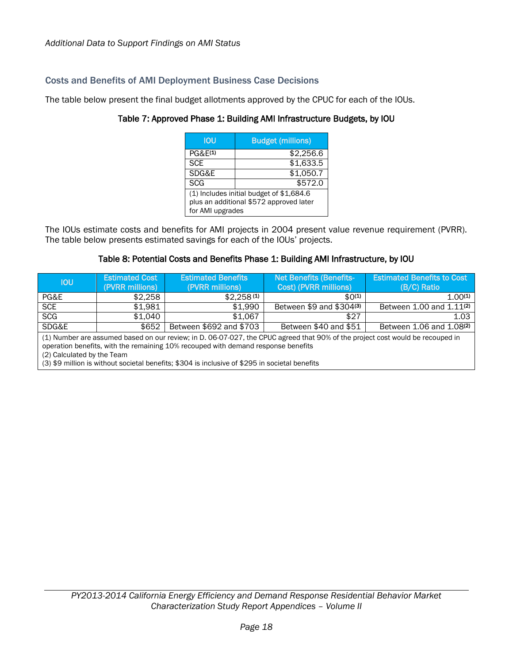### Costs and Benefits of AMI Deployment Business Case Decisions

<span id="page-21-0"></span>The table below present the final budget allotments approved by the CPUC for each of the IOUs.

| IOU                                                                                                     | <b>Budget (millions)</b> |  |  |  |
|---------------------------------------------------------------------------------------------------------|--------------------------|--|--|--|
| PGRF(1)                                                                                                 | \$2,256.6                |  |  |  |
| <b>SCE</b>                                                                                              | \$1,633.5                |  |  |  |
| SDG&E                                                                                                   | \$1,050.7                |  |  |  |
| <b>SCG</b>                                                                                              | \$572.0                  |  |  |  |
| (1) Includes initial budget of \$1,684.6<br>plus an additional \$572 approved later<br>for AMI upgrades |                          |  |  |  |

## Table 7: Approved Phase 1: Building AMI Infrastructure Budgets, by IOU

The IOUs estimate costs and benefits for AMI projects in 2004 present value revenue requirement (PVRR). The table below presents estimated savings for each of the IOUs' projects.

### Table 8: Potential Costs and Benefits Phase 1: Building AMI Infrastructure, by IOU

<span id="page-21-1"></span>

| <b>IOU</b>                                                                                                                                                                                                                                                                                                                                          | <b>Estimated Cost</b><br>(PVRR millions) | <b>Estimated Benefits</b><br>(PVRR millions) | <b>Net Benefits (Benefits-</b><br>Cost) (PVRR millions) | <b>Estimated Benefits to Cost</b><br>(B/C) Ratio |  |  |
|-----------------------------------------------------------------------------------------------------------------------------------------------------------------------------------------------------------------------------------------------------------------------------------------------------------------------------------------------------|------------------------------------------|----------------------------------------------|---------------------------------------------------------|--------------------------------------------------|--|--|
| PG&E                                                                                                                                                                                                                                                                                                                                                | \$2,258                                  | $$2,258^{(1)}$$                              | $$0^{(1)}$$                                             | $1.00^{(1)}$                                     |  |  |
| <b>SCE</b>                                                                                                                                                                                                                                                                                                                                          | \$1,981                                  | \$1,990                                      | Between \$9 and \$304(3)                                | Between 1.00 and 1.11 <sup>(2)</sup>             |  |  |
| <b>SCG</b>                                                                                                                                                                                                                                                                                                                                          | \$1.040                                  | \$1,067                                      | \$27                                                    | 1.03                                             |  |  |
| SDG&E                                                                                                                                                                                                                                                                                                                                               | \$652                                    | Between \$692 and \$703                      | Between \$40 and \$51                                   | Between 1.06 and 1.08 <sup>(2)</sup>             |  |  |
| (1) Number are assumed based on our review; in D. 06-07-027, the CPUC agreed that 90% of the project cost would be recouped in<br>operation benefits, with the remaining 10% recouped with demand response benefits<br>(2) Calculated by the Team<br>(3) \$9 million is without societal benefits; \$304 is inclusive of \$295 in societal benefits |                                          |                                              |                                                         |                                                  |  |  |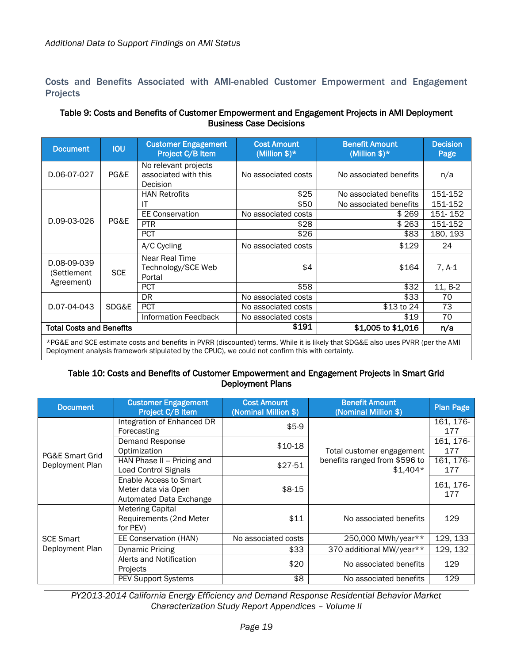Costs and Benefits Associated with AMI-enabled Customer Empowerment and Engagement Projects

#### <span id="page-22-0"></span>Table 9: Costs and Benefits of Customer Empowerment and Engagement Projects in AMI Deployment Business Case Decisions

| <b>Document</b>                          | <b>IOU</b> | <b>Customer Engagement</b><br>Project C/B Item           | <b>Cost Amount</b><br>(Million $$)*$ | <b>Benefit Amount</b><br>(Million $$)*$ | <b>Decision</b><br>Page |
|------------------------------------------|------------|----------------------------------------------------------|--------------------------------------|-----------------------------------------|-------------------------|
| D.06-07-027                              | PG&E       | No relevant projects<br>associated with this<br>Decision | No associated costs                  | No associated benefits                  | n/a                     |
|                                          |            | <b>HAN Retrofits</b>                                     | \$25                                 | No associated benefits                  | 151-152                 |
|                                          |            | IT                                                       | \$50                                 | No associated benefits                  | 151-152                 |
|                                          |            | <b>EE Conservation</b>                                   | No associated costs                  | \$269                                   | 151-152                 |
| D.09-03-026                              | PG&E       | <b>PTR</b>                                               | \$28                                 | \$263                                   | 151-152                 |
|                                          |            | <b>PCT</b>                                               | \$26                                 | \$83                                    | 180, 193                |
|                                          |            | A/C Cycling                                              | No associated costs                  | \$129                                   | 24                      |
| D.08-09-039<br><b>SCE</b><br>(Settlement |            | Near Real Time<br>Technology/SCE Web<br>Portal           | \$4                                  | \$164                                   | $7, A-1$                |
| Agreement)                               |            | <b>PCT</b>                                               | \$58                                 | \$32                                    | $11, B-2$               |
|                                          |            | <b>DR</b>                                                | No associated costs                  | \$33                                    | 70                      |
| D.07-04-043                              | SDG&E      | <b>PCT</b>                                               | No associated costs                  | \$13 to 24                              | 73                      |
|                                          |            | <b>Information Feedback</b>                              | No associated costs                  | \$19                                    | 70                      |
| <b>Total Costs and Benefits</b>          |            |                                                          | \$191                                | \$1,005 to \$1,016                      | n/a                     |

<span id="page-22-1"></span>\*PG&E and SCE estimate costs and benefits in PVRR (discounted) terms. While it is likely that SDG&E also uses PVRR (per the AMI Deployment analysis framework stipulated by the CPUC), we could not confirm this with certainty.

#### Table 10: Costs and Benefits of Customer Empowerment and Engagement Projects in Smart Grid Deployment Plans

| <b>Document</b>  | <b>Customer Engagement</b><br>Project C/B Item                           | <b>Cost Amount</b><br>(Nominal Million \$) | <b>Benefit Amount</b><br>(Nominal Million \$) | <b>Plan Page</b> |
|------------------|--------------------------------------------------------------------------|--------------------------------------------|-----------------------------------------------|------------------|
|                  | Integration of Enhanced DR<br>Forecasting                                | $$5-9$                                     |                                               | 161, 176-<br>177 |
| PG&E Smart Grid  | Demand Response<br>Optimization                                          | $$10-18$                                   | Total customer engagement                     | 161, 176-<br>177 |
| Deployment Plan  | HAN Phase II -- Pricing and<br><b>Load Control Signals</b>               | \$27-51                                    | benefits ranged from \$596 to<br>$$1,404*$    | 161, 176-<br>177 |
|                  | Enable Access to Smart<br>Meter data via Open<br>Automated Data Exchange | $$8-15$                                    |                                               | 161, 176-<br>177 |
|                  | <b>Metering Capital</b><br>Requirements (2nd Meter<br>for PEV)           | \$11                                       | No associated benefits                        | 129              |
| <b>SCE Smart</b> | EE Conservation (HAN)                                                    | No associated costs                        | 250,000 MWh/year**                            | 129, 133         |
| Deployment Plan  | <b>Dynamic Pricing</b>                                                   | \$33                                       | 370 additional MW/year**                      | 129, 132         |
|                  | Alerts and Notification<br>Projects                                      | \$20                                       | No associated benefits                        | 129              |
|                  | <b>PEV Support Systems</b>                                               | \$8                                        | No associated benefits                        | 129              |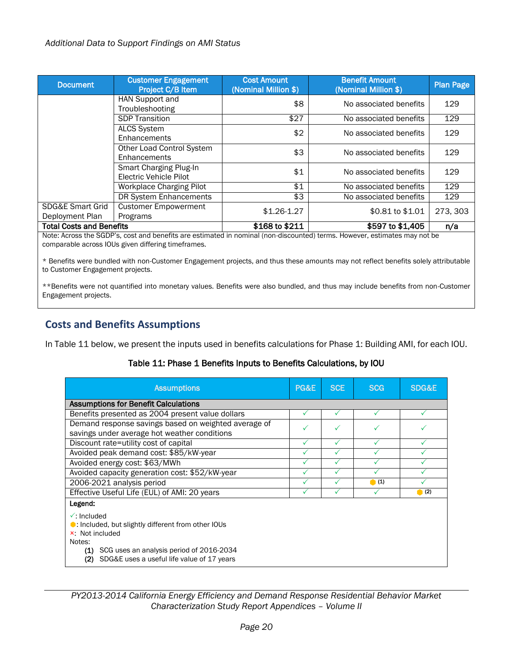| <b>Document</b>                 | <b>Customer Engagement</b><br>Project C/B Item | <b>Cost Amount</b><br>(Nominal Million \$) | <b>Benefit Amount</b><br>(Nominal Million \$) | <b>Plan Page</b> |
|---------------------------------|------------------------------------------------|--------------------------------------------|-----------------------------------------------|------------------|
|                                 | HAN Support and                                | \$8                                        | No associated benefits                        | 129              |
|                                 | Troubleshooting                                |                                            |                                               |                  |
|                                 | <b>SDP Transition</b>                          | \$27                                       | No associated benefits                        | 129              |
|                                 | <b>ALCS System</b>                             | \$2                                        | No associated benefits                        | 129              |
|                                 | Enhancements                                   |                                            |                                               |                  |
|                                 | Other Load Control System                      | \$3                                        | No associated benefits                        | 129              |
|                                 | Enhancements                                   |                                            |                                               |                  |
|                                 | Smart Charging Plug-In                         | \$1                                        | No associated benefits                        | 129              |
|                                 | Electric Vehicle Pilot                         |                                            |                                               |                  |
|                                 | <b>Workplace Charging Pilot</b>                | \$1                                        | No associated benefits                        | 129              |
|                                 | DR System Enhancements                         | \$3                                        | No associated benefits                        | 129              |
| <b>SDG&amp;E Smart Grid</b>     | <b>Customer Empowerment</b>                    | $$1.26-1.27$                               | \$0.81 to \$1.01                              | 273, 303         |
| Deployment Plan                 | Programs                                       |                                            |                                               |                  |
| <b>Total Costs and Benefits</b> |                                                | \$168 to \$211                             | \$597 to \$1,405                              | n/a              |

Note: Across the SGDP's, cost and benefits are estimated in nominal (non-discounted) terms. However, estimates may not be comparable across IOUs given differing timeframes.

\* Benefits were bundled with non-Customer Engagement projects, and thus these amounts may not reflect benefits solely attributable to Customer Engagement projects.

\*\*Benefits were not quantified into monetary values. Benefits were also bundled, and thus may include benefits from non-Customer Engagement projects.

## **Costs and Benefits Assumptions**

<span id="page-23-0"></span>In [Table 11](#page-23-0) below, we present the inputs used in benefits calculations for Phase 1: Building AMI, for each IOU.

| Table 11: Phase 1 Benefits Inputs to Benefits Calculations, by IOU |  |  |
|--------------------------------------------------------------------|--|--|
|--------------------------------------------------------------------|--|--|

| <b>Assumptions</b>                                                                                                   | PG&E | <b>SCE</b> | <b>SCG</b> | SDG&E |
|----------------------------------------------------------------------------------------------------------------------|------|------------|------------|-------|
| <b>Assumptions for Benefit Calculations</b>                                                                          |      |            |            |       |
| Benefits presented as 2004 present value dollars                                                                     | ✓    | ✓          |            |       |
| Demand response savings based on weighted average of                                                                 |      |            |            |       |
| savings under average hot weather conditions                                                                         |      |            |            |       |
| Discount rate=utility cost of capital                                                                                | ✓    | ✓          |            |       |
| Avoided peak demand cost: \$85/kW-year                                                                               |      |            |            |       |
| Avoided energy cost: \$63/MWh                                                                                        |      |            |            |       |
| Avoided capacity generation cost: \$52/kW-year                                                                       |      |            |            |       |
| 2006-2021 analysis period                                                                                            |      |            | (1)        |       |
| Effective Useful Life (EUL) of AMI: 20 years                                                                         |      |            |            | (2)   |
| Legend:                                                                                                              |      |            |            |       |
| $\checkmark$ : Included<br>$\bullet$ : Included, but slightly different from other IOUs<br>x: Not included<br>Notes: |      |            |            |       |
| (1)<br>SCG uses an analysis period of 2016-2034<br>SDG&E uses a useful life value of 17 years<br>(2)                 |      |            |            |       |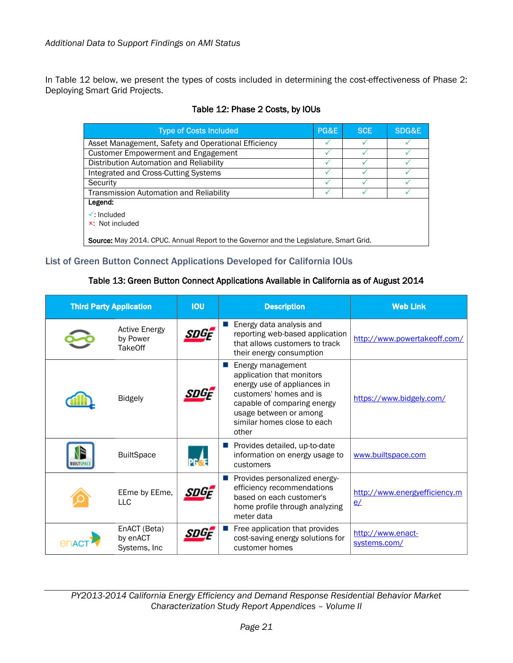<span id="page-24-0"></span>In [Table 12](#page-24-0) below, we present the types of costs included in determining the cost-effectiveness of Phase 2: Deploying Smart Grid Projects.

| <b>Type of Costs Included</b>                                                          | PG&E | <b>SCE</b> | SDG&E |
|----------------------------------------------------------------------------------------|------|------------|-------|
| Asset Management, Safety and Operational Efficiency                                    |      |            |       |
| Customer Empowerment and Engagement                                                    |      |            |       |
| Distribution Automation and Reliability                                                |      |            |       |
| Integrated and Cross-Cutting Systems                                                   |      |            |       |
| Security                                                                               |      |            |       |
| Transmission Automation and Reliability                                                |      |            |       |
| Legend:                                                                                |      |            |       |
| $\sqrt{\ }$ Included<br>× Not included                                                 |      |            |       |
| Source: May 2014. CPUC. Annual Report to the Governor and the Legislature, Smart Grid. |      |            |       |

### Table 12: Phase 2 Costs, by IOUs

### <span id="page-24-1"></span>List of Green Button Connect Applications Developed for California IOUs

### Table 13: Green Button Connect Applications Available in California as of August 2014

| <b>Third Party Application</b> |                                                    | <b>IOU</b> | <b>Description</b>                                                                                                                                                                                        | <b>Web Link</b>                     |
|--------------------------------|----------------------------------------------------|------------|-----------------------------------------------------------------------------------------------------------------------------------------------------------------------------------------------------------|-------------------------------------|
|                                | <b>Active Energy</b><br>by Power<br><b>TakeOff</b> | SDGF       | Energy data analysis and<br>reporting web-based application<br>that allows customers to track<br>their energy consumption                                                                                 | http://www.powertakeoff.com/        |
|                                | <b>Bidgely</b>                                     |            | Energy management<br>application that monitors<br>energy use of appliances in<br>customers' homes and is<br>capable of comparing energy<br>usage between or among<br>similar homes close to each<br>other | https://www.bidgely.com/            |
|                                | <b>BuiltSpace</b>                                  |            | Provides detailed, up-to-date<br>information on energy usage to<br>customers                                                                                                                              | www.builtspace.com                  |
|                                | EEme by EEme,<br><b>LLC</b>                        | SDGF       | Provides personalized energy-<br>efficiency recommendations<br>based on each customer's<br>home profile through analyzing<br>meter data                                                                   | http://www.energyefficiency.m<br>e/ |
|                                | EnACT (Beta)<br>by enACT<br>Systems, Inc           |            | Free application that provides<br>cost-saving energy solutions for<br>customer homes                                                                                                                      | http://www.enact-<br>systems.com/   |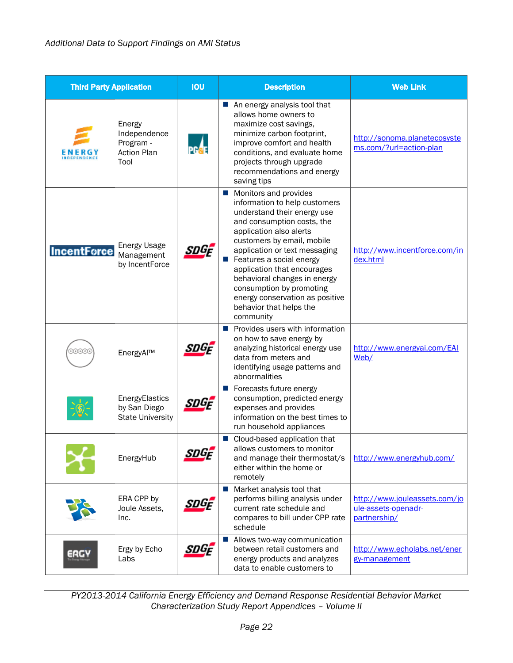| <b>Third Party Application</b> |                                                                   | <b>IOU</b> | <b>Description</b>                                                                                                                                                                                                                                                                                                                                                                                              | <b>Web Link</b>                                                      |
|--------------------------------|-------------------------------------------------------------------|------------|-----------------------------------------------------------------------------------------------------------------------------------------------------------------------------------------------------------------------------------------------------------------------------------------------------------------------------------------------------------------------------------------------------------------|----------------------------------------------------------------------|
|                                | Energy<br>Independence<br>Program -<br><b>Action Plan</b><br>Tool |            | An energy analysis tool that<br>allows home owners to<br>maximize cost savings,<br>minimize carbon footprint,<br>improve comfort and health<br>conditions, and evaluate home<br>projects through upgrade<br>recommendations and energy<br>saving tips                                                                                                                                                           | http://sonoma.planetecosyste<br>ms.com/?url=action-plan              |
| <b>IncentForce</b>             | <b>Energy Usage</b><br>Management<br>by IncentForce               | SDGF       | Monitors and provides<br>information to help customers<br>understand their energy use<br>and consumption costs, the<br>application also alerts<br>customers by email, mobile<br>application or text messaging<br>Features a social energy<br>application that encourages<br>behavioral changes in energy<br>consumption by promoting<br>energy conservation as positive<br>behavior that helps the<br>community | http://www.incentforce.com/in<br>dex.html                            |
|                                | EnergyAl™                                                         | SDGF       | Provides users with information<br>on how to save energy by<br>analyzing historical energy use<br>data from meters and<br>identifying usage patterns and<br>abnormalities                                                                                                                                                                                                                                       | http://www.energyai.com/EAI<br>Web/                                  |
|                                | EnergyElastics<br>by San Diego<br><b>State University</b>         | SDGF       | Forecasts future energy<br>a l<br>consumption, predicted energy<br>expenses and provides<br>information on the best times to<br>run household appliances                                                                                                                                                                                                                                                        |                                                                      |
|                                | EnergyHub                                                         | SDGE       | ■ Cloud-based application that<br>allows customers to monitor<br>and manage their thermostat/s<br>either within the home or<br>remotely                                                                                                                                                                                                                                                                         | http://www.energyhub.com/                                            |
|                                | ERA CPP by<br>Joule Assets,<br>Inc.                               | snGF       | Market analysis tool that<br><b>College</b><br>performs billing analysis under<br>current rate schedule and<br>compares to bill under CPP rate<br>schedule                                                                                                                                                                                                                                                      | http://www.jouleassets.com/jo<br>ule-assets-openadr-<br>partnership/ |
| ERGY                           | Ergy by Echo<br>Labs                                              | SDGE       | Allows two-way communication<br>$\mathcal{L}_{\mathcal{A}}$<br>between retail customers and<br>energy products and analyzes<br>data to enable customers to                                                                                                                                                                                                                                                      | http://www.echolabs.net/ener<br>gy-management                        |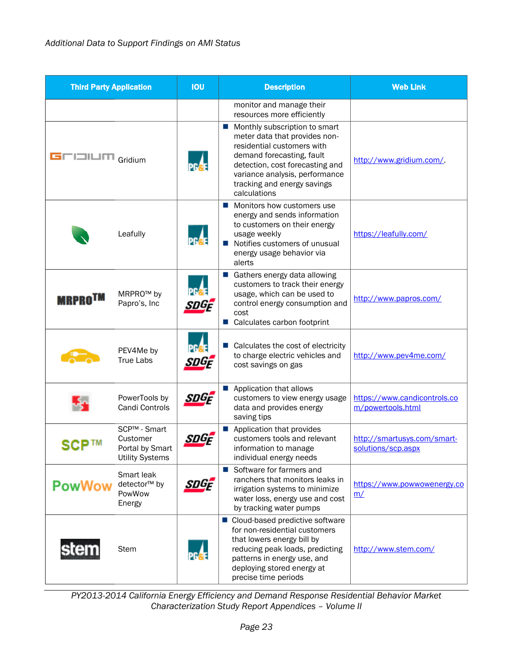| <b>Third Party Application</b> |                                                                       | <b>IOU</b> | <b>Description</b>                                                                                                                                                                                                                            | <b>Web Link</b>                                   |
|--------------------------------|-----------------------------------------------------------------------|------------|-----------------------------------------------------------------------------------------------------------------------------------------------------------------------------------------------------------------------------------------------|---------------------------------------------------|
|                                |                                                                       |            | monitor and manage their<br>resources more efficiently                                                                                                                                                                                        |                                                   |
| GUULUM Gridium                 |                                                                       | PGAE       | Monthly subscription to smart<br>meter data that provides non-<br>residential customers with<br>demand forecasting, fault<br>detection, cost forecasting and<br>variance analysis, performance<br>tracking and energy savings<br>calculations | http://www.gridium.com/                           |
|                                | Leafully                                                              |            | ■ Monitors how customers use<br>energy and sends information<br>to customers on their energy<br>usage weekly<br>Notifies customers of unusual<br>ш<br>energy usage behavior via<br>alerts                                                     | https://leafully.com/                             |
| <b>MRPRO<sup>TM</sup></b>      | MRPRO <sup>™</sup> by<br>Papro's, Inc                                 | snGF       | Gathers energy data allowing<br>customers to track their energy<br>usage, which can be used to<br>control energy consumption and<br>cost<br>■ Calculates carbon footprint                                                                     | http://www.papros.com/                            |
|                                | PEV4Me by<br><b>True Labs</b>                                         |            | Calculates the cost of electricity<br>to charge electric vehicles and<br>cost savings on gas                                                                                                                                                  | http://www.pev4me.com/                            |
|                                | PowerTools by<br>Candi Controls                                       | SDGF       | Application that allows<br>customers to view energy usage<br>data and provides energy<br>saving tips                                                                                                                                          | https://www.candicontrols.co<br>m/powertools.html |
| SCP™                           | SCP™ - Smart<br>Customer<br>Portal by Smart<br><b>Utility Systems</b> | snGf       | Application that provides<br>customers tools and relevant<br>information to manage<br>individual energy needs                                                                                                                                 | http://smartusys.com/smart-<br>solutions/scp.aspx |
| PowWow                         | Smart leak<br>detector <sup>™</sup> by<br>PowWow<br>Energy            | snGF       | Software for farmers and<br>ш<br>ranchers that monitors leaks in<br>irrigation systems to minimize<br>water loss, energy use and cost<br>by tracking water pumps                                                                              | https://www.powwowenergy.co<br>m/                 |
| stem                           | <b>Stem</b>                                                           |            | ■ Cloud-based predictive software<br>for non-residential customers<br>that lowers energy bill by<br>reducing peak loads, predicting<br>patterns in energy use, and<br>deploying stored energy at<br>precise time periods                      | http://www.stem.com/                              |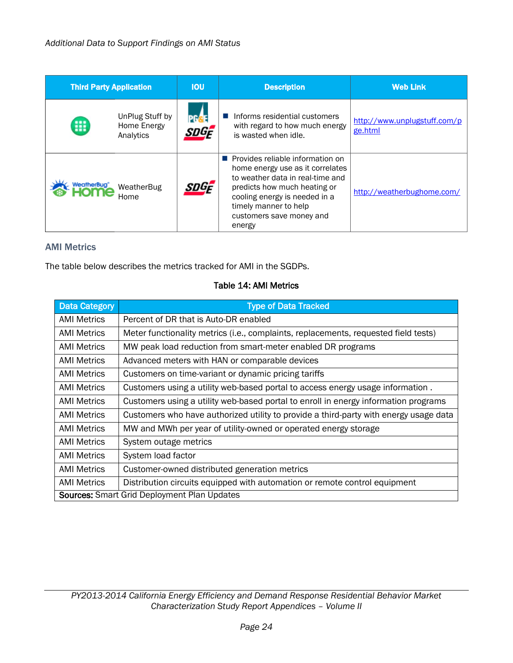| <b>Third Party Application</b> |                                             | <b>IOU</b>                  | <b>Description</b>                                                                                                                                                                                                                              | <b>Web Link</b>                         |
|--------------------------------|---------------------------------------------|-----------------------------|-------------------------------------------------------------------------------------------------------------------------------------------------------------------------------------------------------------------------------------------------|-----------------------------------------|
| 噩                              | UnPlug Stuff by<br>Home Energy<br>Analytics | PG <mark>a</mark> e<br>SDGF | Informs residential customers<br>with regard to how much energy<br>is wasted when idle.                                                                                                                                                         | http://www.unplugstuff.com/p<br>ge.html |
| WeatherBug"                    | WeatherBug<br>Home                          | SDGF                        | <b>Provides reliable information on</b><br>home energy use as it correlates<br>to weather data in real-time and<br>predicts how much heating or<br>cooling energy is needed in a<br>timely manner to help<br>customers save money and<br>energy | http://weatherbughome.com/              |

### AMI Metrics

<span id="page-27-0"></span>The table below describes the metrics tracked for AMI in the SGDPs.

#### Table 14: AMI Metrics

| <b>Data Category</b>                               | <b>Type of Data Tracked</b>                                                           |  |
|----------------------------------------------------|---------------------------------------------------------------------------------------|--|
| <b>AMI Metrics</b>                                 | Percent of DR that is Auto-DR enabled                                                 |  |
| <b>AMI Metrics</b>                                 | Meter functionality metrics (i.e., complaints, replacements, requested field tests)   |  |
| <b>AMI Metrics</b>                                 | MW peak load reduction from smart-meter enabled DR programs                           |  |
| AMI Metrics                                        | Advanced meters with HAN or comparable devices                                        |  |
| <b>AMI Metrics</b>                                 | Customers on time-variant or dynamic pricing tariffs                                  |  |
| <b>AMI Metrics</b>                                 | Customers using a utility web-based portal to access energy usage information.        |  |
| <b>AMI Metrics</b>                                 | Customers using a utility web-based portal to enroll in energy information programs   |  |
| <b>AMI Metrics</b>                                 | Customers who have authorized utility to provide a third-party with energy usage data |  |
| <b>AMI Metrics</b>                                 | MW and MWh per year of utility-owned or operated energy storage                       |  |
| <b>AMI Metrics</b>                                 | System outage metrics                                                                 |  |
| <b>AMI Metrics</b>                                 | System load factor                                                                    |  |
| <b>AMI Metrics</b>                                 | Customer-owned distributed generation metrics                                         |  |
| <b>AMI Metrics</b>                                 | Distribution circuits equipped with automation or remote control equipment            |  |
| <b>Sources:</b> Smart Grid Deployment Plan Updates |                                                                                       |  |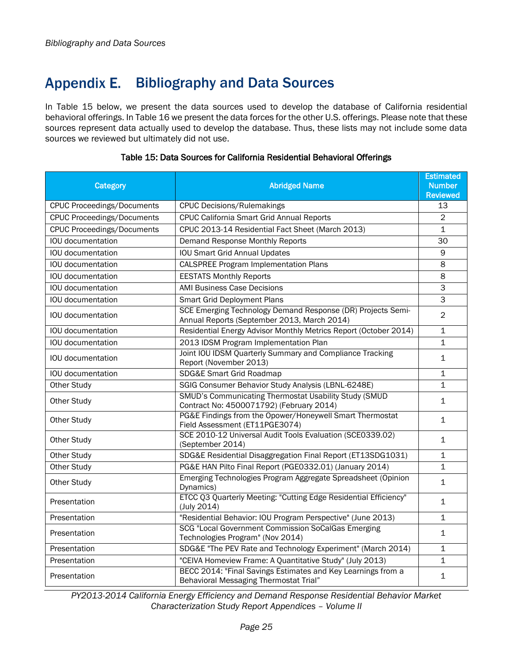## <span id="page-28-0"></span>Appendix E. Bibliography and Data Sources

In [Table 15](#page-28-1) below, we present the data sources used to develop the database of California residential behavioral offerings. I[n Table 16](#page-29-0) we present the data forces for the other U.S. offerings. Please note that these sources represent data actually used to develop the database. Thus, these lists may not include some data sources we reviewed but ultimately did not use.

<span id="page-28-1"></span>

| Category                          | <b>Abridged Name</b>                                                                                       | <b>Estimated</b><br><b>Number</b><br><b>Reviewed</b> |
|-----------------------------------|------------------------------------------------------------------------------------------------------------|------------------------------------------------------|
| <b>CPUC Proceedings/Documents</b> | <b>CPUC Decisions/Rulemakings</b>                                                                          | 13                                                   |
| <b>CPUC Proceedings/Documents</b> | CPUC California Smart Grid Annual Reports                                                                  |                                                      |
| <b>CPUC Proceedings/Documents</b> | CPUC 2013-14 Residential Fact Sheet (March 2013)                                                           | $\mathbf 1$                                          |
| IOU documentation                 | Demand Response Monthly Reports                                                                            | 30                                                   |
| IOU documentation                 | <b>IOU Smart Grid Annual Updates</b>                                                                       | 9                                                    |
| IOU documentation                 | <b>CALSPREE Program Implementation Plans</b>                                                               | 8                                                    |
| IOU documentation                 | <b>EESTATS Monthly Reports</b>                                                                             | 8                                                    |
| IOU documentation                 | <b>AMI Business Case Decisions</b>                                                                         | 3                                                    |
| IOU documentation                 | <b>Smart Grid Deployment Plans</b>                                                                         | 3                                                    |
| IOU documentation                 | SCE Emerging Technology Demand Response (DR) Projects Semi-<br>Annual Reports (September 2013, March 2014) | $\overline{2}$                                       |
| IOU documentation                 | Residential Energy Advisor Monthly Metrics Report (October 2014)                                           | $\mathbf{1}$                                         |
| IOU documentation                 | 2013 IDSM Program Implementation Plan                                                                      | $\mathbf{1}$                                         |
| IOU documentation                 | Joint IOU IDSM Quarterly Summary and Compliance Tracking<br>Report (November 2013)                         | $\mathbf{1}$                                         |
| IOU documentation                 | SDG&E Smart Grid Roadmap                                                                                   | $\mathbf{1}$                                         |
| Other Study                       | SGIG Consumer Behavior Study Analysis (LBNL-6248E)                                                         | $\mathbf{1}$                                         |
| Other Study                       | SMUD's Communicating Thermostat Usability Study (SMUD<br>Contract No: 4500071792) (February 2014)          | 1                                                    |
| Other Study                       | PG&E Findings from the Opower/Honeywell Smart Thermostat<br>Field Assessment (ET11PGE3074)                 | $\mathbf{1}$                                         |
| Other Study                       | SCE 2010-12 Universal Audit Tools Evaluation (SCE0339.02)<br>(September 2014)                              | 1                                                    |
| Other Study                       | SDG&E Residential Disaggregation Final Report (ET13SDG1031)                                                | 1                                                    |
| Other Study                       | PG&E HAN Pilto Final Report (PGE0332.01) (January 2014)                                                    | $\mathbf{1}$                                         |
| Other Study                       | Emerging Technologies Program Aggregate Spreadsheet (Opinion<br>Dynamics)                                  | $\mathbf{1}$                                         |
| Presentation                      | ETCC Q3 Quarterly Meeting: "Cutting Edge Residential Efficiency"<br>(July 2014)                            | $\mathbf{1}$                                         |
| Presentation                      | "Residential Behavior: IOU Program Perspective" (June 2013)                                                | $\mathbf{1}$                                         |
| Presentation                      | SCG "Local Government Commission SoCalGas Emerging<br>Technologies Program" (Nov 2014)                     | $\mathbf{1}$                                         |
| Presentation                      | SDG&E "The PEV Rate and Technology Experiment" (March 2014)                                                | $\mathbf{1}$                                         |
| Presentation                      | "CEIVA Homeview Frame: A Quantitative Study" (July 2013)                                                   | $\mathbf{1}$                                         |
| Presentation                      | BECC 2014: "Final Savings Estimates and Key Learnings from a<br>Behavioral Messaging Thermostat Trial"     | $\mathbf{1}$                                         |

### Table 15: Data Sources for California Residential Behavioral Offerings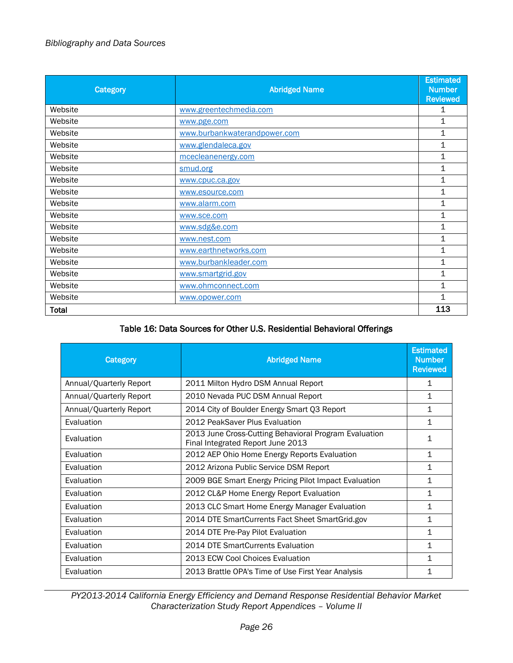## *Bibliography and Data Sources*

| Category | <b>Abridged Name</b>         | <b>Estimated</b><br><b>Number</b> |
|----------|------------------------------|-----------------------------------|
| Website  | www.greentechmedia.com       | <b>Reviewed</b><br>1              |
| Website  | www.pge.com                  | 1                                 |
| Website  | www.burbankwaterandpower.com | 1                                 |
| Website  | www.glendaleca.gov           | 1                                 |
| Website  | mcecleanenergy.com           | $\mathbf 1$                       |
| Website  | smud.org                     | 1                                 |
| Website  | www.cpuc.ca.gov              | $\mathbf 1$                       |
| Website  | www.esource.com              | $\mathbf 1$                       |
| Website  | www.alarm.com                | 1                                 |
| Website  | www.sce.com                  | $\mathbf 1$                       |
| Website  | www.sdg&e.com                | 1                                 |
| Website  | www.nest.com                 | 1                                 |
| Website  | www.earthnetworks.com        | 1                                 |
| Website  | www.burbankleader.com        | 1                                 |
| Website  | www.smartgrid.gov            | $\mathbf 1$                       |
| Website  | www.ohmconnect.com           | 1                                 |
| Website  | www.opower.com               | 1                                 |
| Total    |                              | 113                               |

## Table 16: Data Sources for Other U.S. Residential Behavioral Offerings

<span id="page-29-0"></span>

| Category                | <b>Abridged Name</b>                                                                       | <b>Estimated</b><br><b>Number</b><br><b>Reviewed</b> |
|-------------------------|--------------------------------------------------------------------------------------------|------------------------------------------------------|
| Annual/Quarterly Report | 2011 Milton Hydro DSM Annual Report                                                        | 1                                                    |
| Annual/Quarterly Report | 2010 Nevada PUC DSM Annual Report                                                          | $\mathbf{1}$                                         |
| Annual/Quarterly Report | 2014 City of Boulder Energy Smart Q3 Report                                                | $\mathbf{1}$                                         |
| Evaluation              | 2012 PeakSaver Plus Evaluation                                                             | $\mathbf 1$                                          |
| Evaluation              | 2013 June Cross-Cutting Behavioral Program Evaluation<br>Final Integrated Report June 2013 | 1                                                    |
| Evaluation              | 2012 AEP Ohio Home Energy Reports Evaluation                                               | $\mathbf{1}$                                         |
| Evaluation              | 2012 Arizona Public Service DSM Report                                                     | 1                                                    |
| Evaluation              | 2009 BGE Smart Energy Pricing Pilot Impact Evaluation                                      | $\mathbf 1$                                          |
| Evaluation              | 2012 CL&P Home Energy Report Evaluation                                                    | $\mathbf 1$                                          |
| Evaluation              | 2013 CLC Smart Home Energy Manager Evaluation                                              | 1                                                    |
| Evaluation              | 2014 DTE SmartCurrents Fact Sheet SmartGrid.gov                                            | 1                                                    |
| Evaluation              | 2014 DTE Pre-Pay Pilot Evaluation                                                          | $\mathbf 1$                                          |
| Evaluation              | 2014 DTE SmartCurrents Evaluation                                                          | $\mathbf 1$                                          |
| Evaluation              | 2013 ECW Cool Choices Evaluation                                                           | $\mathbf 1$                                          |
| Evaluation              | 2013 Brattle OPA's Time of Use First Year Analysis                                         | $\mathbf 1$                                          |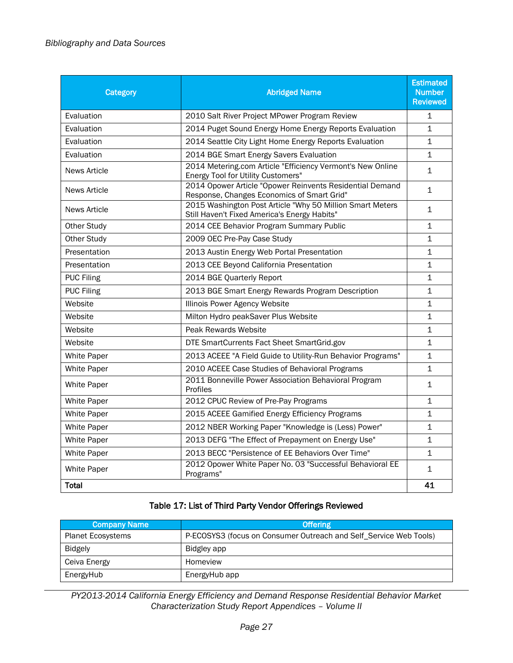| Category            | <b>Abridged Name</b>                                                                                      | <b>Estimated</b><br><b>Number</b><br><b>Reviewed</b> |
|---------------------|-----------------------------------------------------------------------------------------------------------|------------------------------------------------------|
| Evaluation          | 2010 Salt River Project MPower Program Review                                                             | $\mathbf{1}$                                         |
| Evaluation          | 2014 Puget Sound Energy Home Energy Reports Evaluation                                                    | $\mathbf{1}$                                         |
| Evaluation          | 2014 Seattle City Light Home Energy Reports Evaluation                                                    | $\mathbf{1}$                                         |
| Evaluation          | 2014 BGE Smart Energy Savers Evaluation                                                                   | $\mathbf 1$                                          |
| <b>News Article</b> | 2014 Metering.com Article "Efficiency Vermont's New Online<br><b>Energy Tool for Utility Customers"</b>   | $\mathbf{1}$                                         |
| <b>News Article</b> | 2014 Opower Article "Opower Reinvents Residential Demand<br>Response, Changes Economics of Smart Grid"    | $\mathbf{1}$                                         |
| <b>News Article</b> | 2015 Washington Post Article "Why 50 Million Smart Meters<br>Still Haven't Fixed America's Energy Habits" | $\mathbf{1}$                                         |
| <b>Other Study</b>  | 2014 CEE Behavior Program Summary Public                                                                  | 1                                                    |
| Other Study         | 2009 OEC Pre-Pay Case Study                                                                               | 1                                                    |
| Presentation        | 2013 Austin Energy Web Portal Presentation                                                                | $\mathbf 1$                                          |
| Presentation        | 2013 CEE Beyond California Presentation                                                                   | $\mathbf{1}$                                         |
| <b>PUC Filing</b>   | 2014 BGE Quarterly Report                                                                                 | 1                                                    |
| <b>PUC Filing</b>   | 2013 BGE Smart Energy Rewards Program Description                                                         | $\mathbf{1}$                                         |
| Website             | Illinois Power Agency Website                                                                             | 1                                                    |
| Website             | Milton Hydro peakSaver Plus Website                                                                       | 1                                                    |
| Website             | Peak Rewards Website                                                                                      | $\mathbf{1}$                                         |
| Website             | DTE SmartCurrents Fact Sheet SmartGrid.gov                                                                | $\mathbf 1$                                          |
| <b>White Paper</b>  | 2013 ACEEE "A Field Guide to Utility-Run Behavior Programs"                                               | 1                                                    |
| <b>White Paper</b>  | 2010 ACEEE Case Studies of Behavioral Programs                                                            | $\mathbf{1}$                                         |
| White Paper         | 2011 Bonneville Power Association Behavioral Program<br>Profiles                                          | $\mathbf{1}$                                         |
| <b>White Paper</b>  | 2012 CPUC Review of Pre-Pay Programs                                                                      | 1                                                    |
| White Paper         | 2015 ACEEE Gamified Energy Efficiency Programs                                                            | 1                                                    |
| <b>White Paper</b>  | 2012 NBER Working Paper "Knowledge is (Less) Power"                                                       | $\mathbf{1}$                                         |
| White Paper         | 2013 DEFG "The Effect of Prepayment on Energy Use"                                                        | $\mathbf{1}$                                         |
| <b>White Paper</b>  | 2013 BECC "Persistence of EE Behaviors Over Time"                                                         | $\mathbf{1}$                                         |
| White Paper         | 2012 Opower White Paper No. 03 "Successful Behavioral EE<br>Programs"                                     | $\mathbf{1}$                                         |
| <b>Total</b>        |                                                                                                           | 41                                                   |

## Table 17: List of Third Party Vendor Offerings Reviewed

<span id="page-30-0"></span>

| <b>Company Name</b>      | <b>Offering</b>                                                   |
|--------------------------|-------------------------------------------------------------------|
| <b>Planet Ecosystems</b> | P-ECOSYS3 (focus on Consumer Outreach and Self_Service Web Tools) |
| Bidgely                  | Bidgley app                                                       |
| Ceiva Energy             | Homeview                                                          |
| EnergyHub                | EnergyHub app                                                     |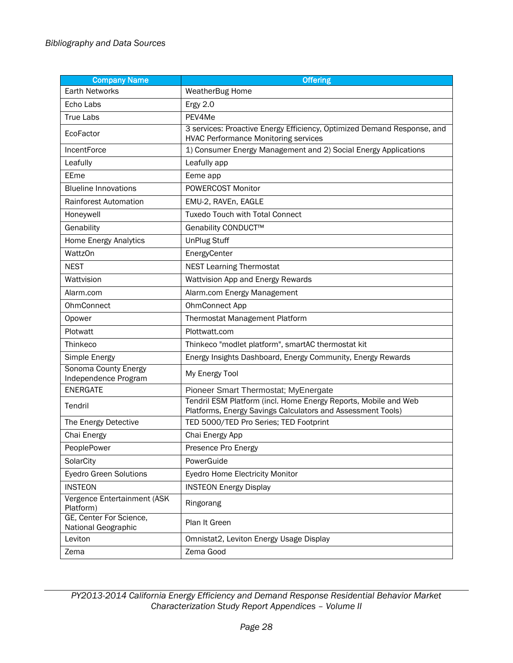| <b>Company Name</b>                            | <b>Offering</b>                                                                                                                |
|------------------------------------------------|--------------------------------------------------------------------------------------------------------------------------------|
| <b>Earth Networks</b>                          | WeatherBug Home                                                                                                                |
| Echo Labs                                      | Ergy 2.0                                                                                                                       |
| <b>True Labs</b>                               | PEV4Me                                                                                                                         |
| EcoFactor                                      | 3 services: Proactive Energy Efficiency, Optimized Demand Response, and<br><b>HVAC Performance Monitoring services</b>         |
| IncentForce                                    | 1) Consumer Energy Management and 2) Social Energy Applications                                                                |
| Leafully                                       | Leafully app                                                                                                                   |
| EEme                                           | Eeme app                                                                                                                       |
| <b>Blueline Innovations</b>                    | POWERCOST Monitor                                                                                                              |
| Rainforest Automation                          | EMU-2, RAVEn, EAGLE                                                                                                            |
| Honeywell                                      | <b>Tuxedo Touch with Total Connect</b>                                                                                         |
| Genability                                     | Genability CONDUCT™                                                                                                            |
| Home Energy Analytics                          | <b>UnPlug Stuff</b>                                                                                                            |
| <b>WattzOn</b>                                 | EnergyCenter                                                                                                                   |
| <b>NEST</b>                                    | <b>NEST Learning Thermostat</b>                                                                                                |
| Wattvision                                     | Wattvision App and Energy Rewards                                                                                              |
| Alarm.com                                      | Alarm.com Energy Management                                                                                                    |
| <b>OhmConnect</b>                              | OhmConnect App                                                                                                                 |
| Opower                                         | Thermostat Management Platform                                                                                                 |
| Plotwatt                                       | Plottwatt.com                                                                                                                  |
| Thinkeco                                       | Thinkeco "modlet platform", smartAC thermostat kit                                                                             |
| Simple Energy                                  | Energy Insights Dashboard, Energy Community, Energy Rewards                                                                    |
| Sonoma County Energy<br>Independence Program   | My Energy Tool                                                                                                                 |
| <b>ENERGATE</b>                                | Pioneer Smart Thermostat; MyEnergate                                                                                           |
| Tendril                                        | Tendril ESM Platform (incl. Home Energy Reports, Mobile and Web<br>Platforms, Energy Savings Calculators and Assessment Tools) |
| The Energy Detective                           | TED 5000/TED Pro Series; TED Footprint                                                                                         |
| Chai Energy                                    | Chai Energy App                                                                                                                |
| PeoplePower                                    | Presence Pro Energy                                                                                                            |
| SolarCity                                      | PowerGuide                                                                                                                     |
| <b>Eyedro Green Solutions</b>                  | Eyedro Home Electricity Monitor                                                                                                |
| <b>INSTEON</b>                                 | <b>INSTEON Energy Display</b>                                                                                                  |
| Vergence Entertainment (ASK<br>Platform)       | Ringorang                                                                                                                      |
| GE, Center For Science,<br>National Geographic | Plan It Green                                                                                                                  |
| Leviton                                        | Omnistat2, Leviton Energy Usage Display                                                                                        |
| Zema                                           | Zema Good                                                                                                                      |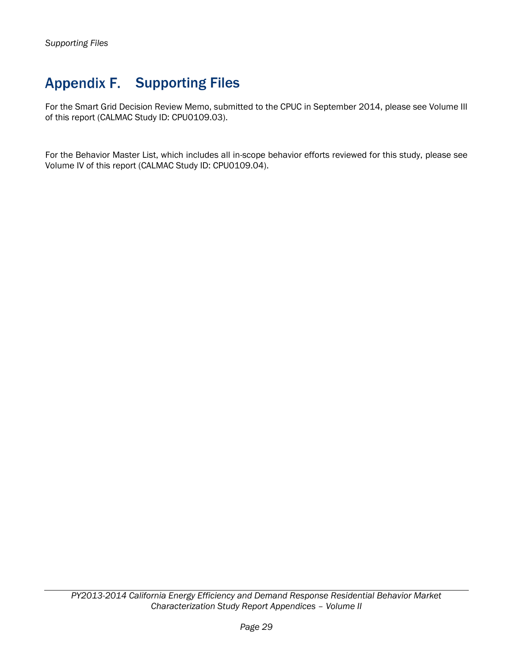## <span id="page-32-0"></span>Appendix F. Supporting Files

For the Smart Grid Decision Review Memo, submitted to the CPUC in September 2014, please see Volume III of this report (CALMAC Study ID: CPU0109.03).

For the Behavior Master List, which includes all in-scope behavior efforts reviewed for this study, please see Volume IV of this report (CALMAC Study ID: CPU0109.04).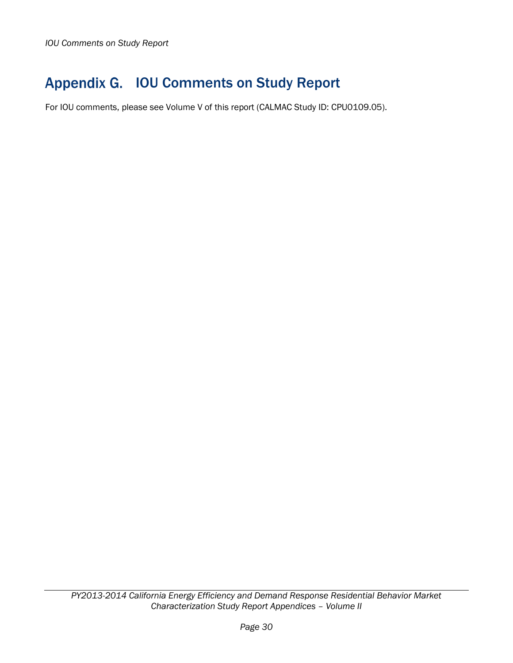## <span id="page-33-0"></span>Appendix G. IOU Comments on Study Report

For IOU comments, please see Volume V of this report (CALMAC Study ID: CPU0109.05).